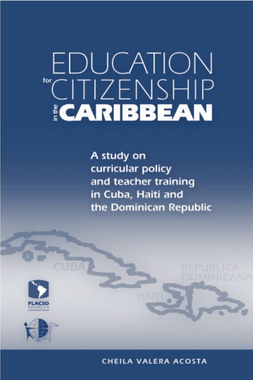# EDUCATION "CITIZENSHIP **CARIBBEAN**

A study on curricular policy and teacher training in Cuba, Haiti and the Dominican Republic





**CHEILA VALERA ACOSTA**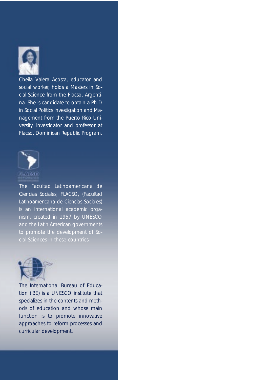

*Cheila Valera Acosta, educator and social worker, holds a Masters in Social Science from the Flacso, Argentina. She is candidate to obtain a Ph.D in Social Politics Investigation and Management from the Puerto Rico University. Investigator and professor at Flacso, Dominican Republic Program.*



*The Facultad Latinoamericana de Ciencias Sociales, FLACSO, (Facultad Latinoamericana de Ciencias Sociales) is an international academic organism, created in 1957 by UNESCO and the Latin American governments*



*The International Bureau of Education (IBE) is a UNESCO institute that specializes in the contents and methods of education and whose main function is to promote innovative approaches to reform processes and curricular development.*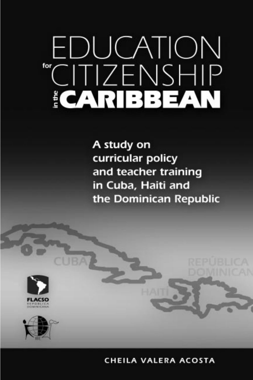## DUCATION CITIZENSHIP for **CARIBBEAN**

A study on curricular policy and teacher training in Cuba, Haiti and the Dominican Republic





CHEILA VALERA ACOSTA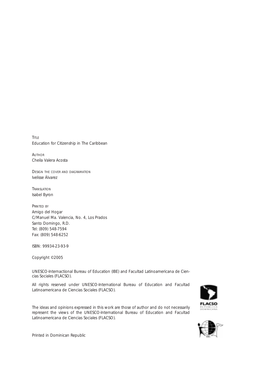*TITLE Education for Citizenship in The Caribbean*

*AUTHOR Cheila Valera Acosta* 

*DESIGN THE COVER AND DIAGRAMATION Ivelisse Álvarez* 

*TRANSLATION Isabel Byron* 

*PRINTED BY Amigo del Hogar C/Manuel Ma. Valencia, No. 4, Los Prados Santo Domingo, R.D. Tel: (809) 548-7594 Fax: (809) 548-6252*

*ISBN: 99934-23-93-9*

*Copyright ©2005* 

*UNESCO-Internactional Bureau of Education (IBE) and Facultad Latinoamericana de Ciencias Sociales (FLACSO).*

*All rights reserved under UNESCO-International Bureau of Education and Facultad Latinoamericana de Ciencias Sociales (FLACSO).*







*Printed in Dominican Republic*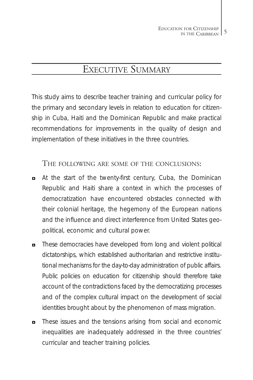## EXECUTIVE SUMMARY

*This study aims to describe teacher training and curricular policy for the primary and secondary levels in relation to education for citizenship in Cuba, Haiti and the Dominican Republic and make practical recommendations for improvements in the quality of design and implementation of these initiatives in the three countries.* 

THE FOLLOWING ARE SOME OF THE CONCLUSIONS:

- *At the start of the twenty-first century, Cuba, the Dominican* п. *Republic and Haiti share a context in which the processes of democratization have encountered obstacles connected with their colonial heritage, the hegemony of the European nations and the influence and direct interference from United States geopolitical, economic and cultural power.*
- *These democracies have developed from long and violent political* о. *dictatorships, which established authoritarian and restrictive institutional mechanisms for the day-to-day administration of public affairs. Public policies on education for citizenship should therefore take account of the contradictions faced by the democratizing processes and of the complex cultural impact on the development of social identities brought about by the phenomenon of mass migration.*
- *These issues and the tensions arising from social and economic* o. *inequalities are inadequately addressed in the three countries' curricular and teacher training policies.*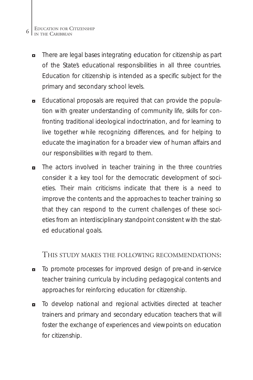## $6 \nvert$  Education for Citizenship

- o *There are legal bases integrating education for citizenship as part of the State's educational responsibilities in all three countries. Education for citizenship is intended as a specific subject for the primary and secondary school levels.*
- *Educational proposals are required that can provide the popula*п. *tion with greater understanding of community life, skills for confronting traditional ideological indoctrination, and for learning to live together while recognizing differences, and for helping to educate the imagination for a broader view of human affairs and our responsibilities with regard to them.*
- *The actors involved in teacher training in the three countries* п. *consider it a key tool for the democratic development of societies. Their main criticisms indicate that there is a need to improve the contents and the approaches to teacher training so that they can respond to the current challenges of these societies from an interdisciplinary standpoint consistent with the stated educational goals.*

#### THIS STUDY MAKES THE FOLLOWING RECOMMENDATIONS:

- *To promote processes for improved design of pre-and in-service* o, *teacher training curricula by including pedagogical contents and approaches for reinforcing education for citizenship.*
- *To develop national and regional activities directed at teacher* o. *trainers and primary and secondary education teachers that will foster the exchange of experiences and viewpoints on education for citizenship.*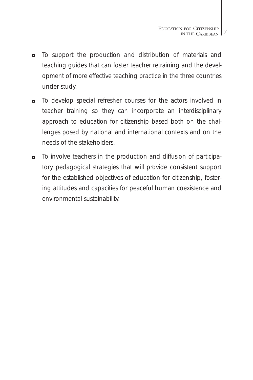- α. *To support the production and distribution of materials and teaching guides that can foster teacher retraining and the development of more effective teaching practice in the three countries under study.*
- *To develop special refresher courses for the actors involved in*  $\blacksquare$ *teacher training so they can incorporate an interdisciplinary approach to education for citizenship based both on the challenges posed by national and international contexts and on the needs of the stakeholders.*
- *To involve teachers in the production and diffusion of participa*п. *tory pedagogical strategies that will provide consistent support for the established objectives of education for citizenship, fostering attitudes and capacities for peaceful human coexistence and environmental sustainability.*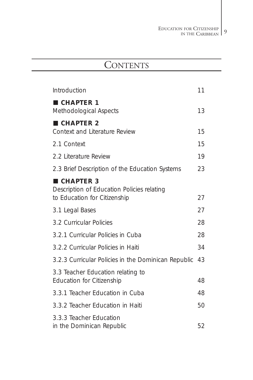| CONTENTS |                                                                                                        |    |  |
|----------|--------------------------------------------------------------------------------------------------------|----|--|
|          |                                                                                                        |    |  |
|          | Introduction                                                                                           | 11 |  |
|          | $\blacksquare$ CHAPTER 1<br>Methodological Aspects                                                     | 13 |  |
|          | CHAPTER 2<br>Context and Literature Review                                                             | 15 |  |
|          | 2.1 Context                                                                                            | 15 |  |
|          | 2.2 Literature Review                                                                                  | 19 |  |
|          | 2.3 Brief Description of the Education Systems                                                         | 23 |  |
|          | $\blacksquare$ CHAPTER 3<br>Description of Education Policies relating<br>to Education for Citizenship | 27 |  |
|          | 3.1 Legal Bases                                                                                        | 27 |  |
|          | 3.2 Curricular Policies                                                                                | 28 |  |
|          | 3.2.1 Curricular Policies in Cuba                                                                      | 28 |  |
|          | 3.2.2 Curricular Policies in Haiti                                                                     | 34 |  |
|          | 3.2.3 Curricular Policies in the Dominican Republic                                                    | 43 |  |
|          | 3.3 Teacher Education relating to<br><b>Education for Citizenship</b>                                  | 48 |  |
|          | 3.3.1 Teacher Education in Cuba                                                                        | 48 |  |
|          | 3.3.2 Teacher Education in Haiti                                                                       | 50 |  |
|          | 3.3.3 Teacher Education<br>in the Dominican Republic                                                   | 52 |  |

L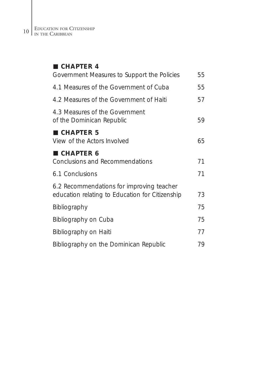#### *CHAPTER 4*

| Government Measures to Support the Policies                                                  | 55 |
|----------------------------------------------------------------------------------------------|----|
| 4.1 Measures of the Government of Cuba                                                       | 55 |
| 4.2 Measures of the Government of Haiti                                                      | 57 |
| 4.3 Measures of the Government<br>of the Dominican Republic                                  | 59 |
| $\blacksquare$ CHAPTER 5<br>View of the Actors Involved                                      | 65 |
| $\blacksquare$ CHAPTER 6<br><b>Conclusions and Recommendations</b>                           | 71 |
| 6.1 Conclusions                                                                              | 71 |
|                                                                                              |    |
| 6.2 Recommendations for improving teacher<br>education relating to Education for Citizenship | 73 |
| Bibliography                                                                                 | 75 |
| Bibliography on Cuba                                                                         | 75 |
| Bibliography on Haiti                                                                        | 77 |
| Bibliography on the Dominican Republic                                                       | 79 |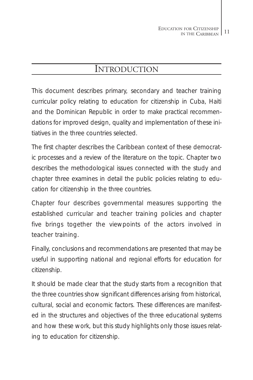### INTRODUCTION

*This document describes primary, secondary and teacher training curricular policy relating to education for citizenship in Cuba, Haiti and the Dominican Republic in order to make practical recommendations for improved design, quality and implementation of these initiatives in the three countries selected.*

*The first chapter describes the Caribbean context of these democratic processes and a review of the literature on the topic. Chapter two describes the methodological issues connected with the study and chapter three examines in detail the public policies relating to education for citizenship in the three countries.* 

*Chapter four describes governmental measures supporting the established curricular and teacher training policies and chapter five brings together the viewpoints of the actors involved in teacher training.*

*Finally, conclusions and recommendations are presented that may be useful in supporting national and regional efforts for education for citizenship.* 

*It should be made clear that the study starts from a recognition that the three countries show significant differences arising from historical, cultural, social and economic factors. These differences are manifested in the structures and objectives of the three educational systems and how these work, but this study highlights only those issues relating to education for citizenship.*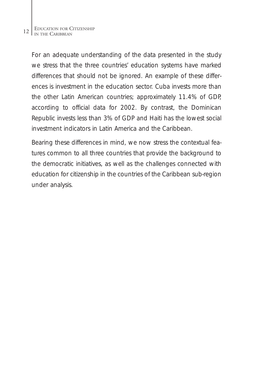*For an adequate understanding of the data presented in the study we stress that the three countries' education systems have marked differences that should not be ignored. An example of these differences is investment in the education sector. Cuba invests more than the other Latin American countries; approximately 11.4% of GDP, according to official data for 2002. By contrast, the Dominican Republic invests less than 3% of GDP and Haiti has the lowest social investment indicators in Latin America and the Caribbean.*

*Bearing these differences in mind, we now stress the contextual features common to all three countries that provide the background to the democratic initiatives, as well as the challenges connected with education for citizenship in the countries of the Caribbean sub-region under analysis.*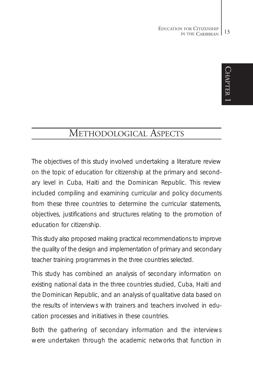## METHODOLOGICAL ASPECTS

*The objectives of this study involved undertaking a literature review on the topic of education for citizenship at the primary and secondary level in Cuba, Haiti and the Dominican Republic. This review included compiling and examining curricular and policy documents from these three countries to determine the curricular statements, objectives, justifications and structures relating to the promotion of education for citizenship.* 

*This study also proposed making practical recommendations to improve the quality of the design and implementation of primary and secondary teacher training programmes in the three countries selected.*

*This study has combined an analysis of secondary information on existing national data in the three countries studied, Cuba, Haiti and the Dominican Republic, and an analysis of qualitative data based on the results of interviews with trainers and teachers involved in education processes and initiatives in these countries.*

*Both the gathering of secondary information and the interviews were undertaken through the academic networks that function in*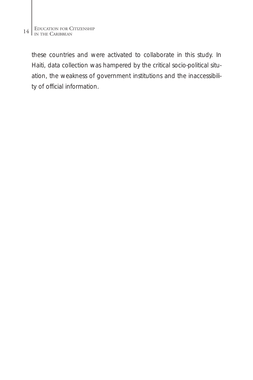*these countries and were activated to collaborate in this study. In Haiti, data collection was hampered by the critical socio-political situation, the weakness of government institutions and the inaccessibility of official information.*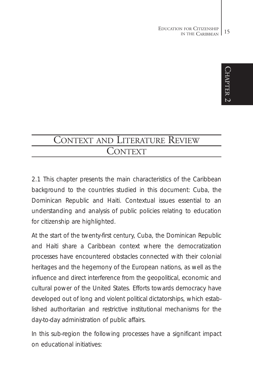## CONTEXT AND LITERATURE REVIEW **CONTEXT**

*2.1 This chapter presents the main characteristics of the Caribbean background to the countries studied in this document: Cuba, the Dominican Republic and Haiti. Contextual issues essential to an understanding and analysis of public policies relating to education for citizenship are highlighted.*

*At the start of the twenty-first century, Cuba, the Dominican Republic and Haiti share a Caribbean context where the democratization processes have encountered obstacles connected with their colonial heritages and the hegemony of the European nations, as well as the influence and direct interference from the geopolitical, economic and cultural power of the United States. Efforts towards democracy have developed out of long and violent political dictatorships, which established authoritarian and restrictive institutional mechanisms for the day-to-day administration of public affairs.*

*In this sub-region the following processes have a significant impact on educational initiatives:*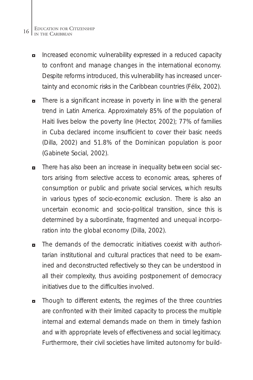## 16 EDUCATION FOR CITIZENSHIP

- o. *Increased economic vulnerability expressed in a reduced capacity to confront and manage changes in the international economy. Despite reforms introduced, this vulnerability has increased uncertainty and economic risks in the Caribbean countries (Félix, 2002).*
- *There is a significant increase in poverty in line with the general*  $\blacksquare$ *trend in Latin America. Approximately 85% of the population of Haiti lives below the poverty line (Hector, 2002); 77% of families in Cuba declared income insufficient to cover their basic needs (Dilla, 2002) and 51.8% of the Dominican population is poor (Gabinete Social, 2002).*
- *There has also been an increase in inequality between social sec*п. *tors arising from selective access to economic areas, spheres of consumption or public and private social services, which results in various types of socio-economic exclusion. There is also an uncertain economic and socio-political transition, since this is determined by a subordinate, fragmented and unequal incorporation into the global economy (Dilla, 2002).*
- *The demands of the democratic initiatives coexist with authori*o. *tarian institutional and cultural practices that need to be examined and deconstructed reflectively so they can be understood in all their complexity, thus avoiding postponement of democracy initiatives due to the difficulties involved.*
- *Though to different extents, the regimes of the three countries* o, *are confronted with their limited capacity to process the multiple internal and external demands made on them in timely fashion and with appropriate levels of effectiveness and social legitimacy. Furthermore, their civil societies have limited autonomy for build-*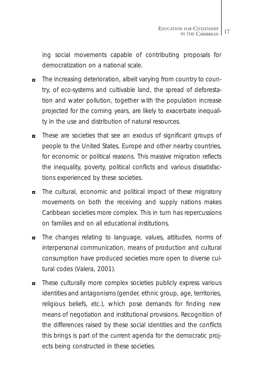*ing social movements capable of contributing proposals for democratization on a national scale.*

- *The increasing deterioration, albeit varying from country to coun*α. *try, of eco-systems and cultivable land, the spread of deforestation and water pollution, together with the population increase projected for the coming years, are likely to exacerbate inequality in the use and distribution of natural resources.*
- *These are societies that see an exodus of significant groups of* п. *people to the United States, Europe and other nearby countries, for economic or political reasons. This massive migration reflects the inequality, poverty, political conflicts and various dissatisfactions experienced by these societies.*
- *The cultural, economic and political impact of these migratory* п. *movements on both the receiving and supply nations makes Caribbean societies more complex. This in turn has repercussions on families and on all educational institutions.*
- *The changes relating to language, values, attitudes, norms of*  $\blacksquare$ *interpersonal communication, means of production and cultural consumption have produced societies more open to diverse cultural codes (Valera, 2001).*
- *These culturally more complex societies publicly express various* o. *identities and antagonisms (gender, ethnic group, age, territories, religious beliefs, etc.), which pose demands for finding new means of negotiation and institutional provisions. Recognition of the differences raised by these social identities and the conflicts this brings is part of the current agenda for the democratic projects being constructed in these societies.*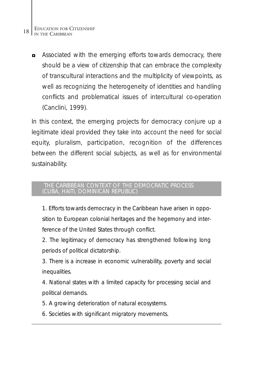## 18 EDUCATION FOR CITIZENSHIP<br>IN THE CARIBBEAN

o *Associated with the emerging efforts towards democracy, there should be a view of citizenship that can embrace the complexity of transcultural interactions and the multiplicity of viewpoints, as well as recognizing the heterogeneity of identities and handling conflicts and problematical issues of intercultural co-operation (Canclini, 1999).*

*In this context, the emerging projects for democracy conjure up a legitimate ideal provided they take into account the need for social equity, pluralism, participation, recognition of the differences between the different social subjects, as well as for environmental sustainability.*

#### *THE CARIBBEAN CONTEXT OF THE DEMOCRATIC PROCESS (CUBA, HAITI, DOMINICAN REPUBLIC)*

*1. Efforts towards democracy in the Caribbean have arisen in opposition to European colonial heritages and the hegemony and interference of the United States through conflict.*

*2. The legitimacy of democracy has strengthened following long periods of political dictatorship.*

*3. There is a increase in economic vulnerability, poverty and social inequalities.*

*4. National states with a limited capacity for processing social and political demands.*

*5. A growing deterioration of natural ecosystems.*

*6. Societies with significant migratory movements.*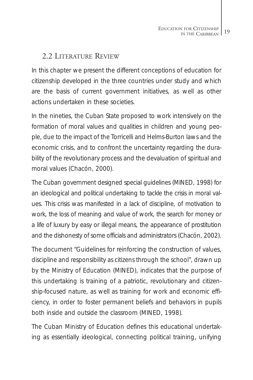#### 2.2 LITERATURE REVIEW

*In this chapter we present the different conceptions of education for citizenship developed in the three countries under study and which are the basis of current government initiatives, as well as other actions undertaken in these societies.* 

*In the nineties, the Cuban State proposed to work intensively on the formation of moral values and qualities in children and young people, due to the impact of the Torricelli and Helms-Burton laws and the economic crisis, and to confront the uncertainty regarding the durability of the revolutionary process and the devaluation of spiritual and moral values (Chacón, 2000).*

*The Cuban government designed special guidelines (MINED, 1998) for an ideological and political undertaking to tackle the crisis in moral values. This crisis was manifested in a lack of discipline, of motivation to work, the loss of meaning and value of work, the search for money or a life of luxury by easy or illegal means, the appearance of prostitution and the dishonesty of some officials and administrators (Chacón, 2002).* 

*The document "Guidelines for reinforcing the construction of values, discipline and responsibility as citizens through the school", drawn up by the Ministry of Education (MINED), indicates that the purpose of this undertaking is training of a patriotic, revolutionary and citizenship-focused nature, as well as training for work and economic efficiency, in order to foster permanent beliefs and behaviors in pupils both inside and outside the classroom (MINED, 1998).*

*The Cuban Ministry of Education defines this educational undertaking as essentially ideological, connecting political training, unifying*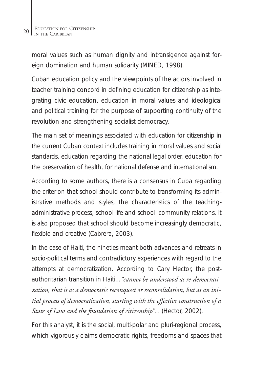*moral values such as human dignity and intransigence against foreign domination and human solidarity (MINED, 1998).* 

*Cuban education policy and the viewpoints of the actors involved in teacher training concord in defining education for citizenship as integrating civic education, education in moral values and ideological and political training for the purpose of supporting continuity of the revolution and strengthening socialist democracy.*

*The main set of meanings associated with education for citizenship in the current Cuban context includes training in moral values and social standards, education regarding the national legal order, education for the preservation of health, for national defense and internationalism.*

*According to some authors, there is a consensus in Cuba regarding the criterion that school should contribute to transforming its administrative methods and styles, the characteristics of the teachingadministrative process, school life and school–community relations. It is also proposed that school should become increasingly democratic, flexible and creative (Cabrera, 2003).*

*In the case of Haiti, the nineties meant both advances and retreats in socio-political terms and contradictory experiences with regard to the attempts at democratization. According to Cary Hector, the postauthoritarian transition in Haiti..."cannot be understood as re-democratization, that is as a democratic reconquest or reconsolidation, but as an initial process of democratization, starting with the effective construction of a State of Law and the foundation of citizenship"... (Hector, 2002).*

*For this analyst, it is the social, multi-polar and pluri-regional process, which vigorously claims democratic rights, freedoms and spaces that*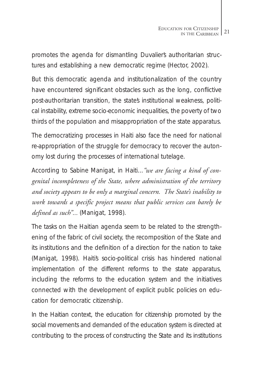*promotes the agenda for dismantling Duvalier's authoritarian structures and establishing a new democratic regime (Hector, 2002).*

*But this democratic agenda and institutionalization of the country have encountered significant obstacles such as the long, conflictive post-authoritarian transition, the state's institutional weakness, political instability, extreme socio-economic inequalities, the poverty of two thirds of the population and misappropriation of the state apparatus.* 

*The democratizing processes in Haiti also face the need for national re-appropriation of the struggle for democracy to recover the autonomy lost during the processes of international tutelage.*

*According to Sabine Manigat, in Haiti..."we are facing a kind of congenital incompleteness of the State, where administration of the territory and society appears to be only a marginal concern. The State's inability to work towards a specific project means that public services can barely be defined as such"... (Manigat, 1998).*

*The tasks on the Haitian agenda seem to be related to the strengthening of the fabric of civil society, the recomposition of the State and its institutions and the definition of a direction for the nation to take (Manigat, 1998). Haiti's socio-political crisis has hindered national implementation of the different reforms to the state apparatus, including the reforms to the education system and the initiatives connected with the development of explicit public policies on education for democratic citizenship.*

*In the Haitian context, the education for citizenship promoted by the social movements and demanded of the education system is directed at contributing to the process of constructing the State and its institutions*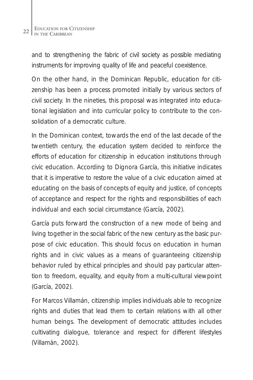*and to strengthening the fabric of civil society as possible mediating instruments for improving quality of life and peaceful coexistence.*

*On the other hand, in the Dominican Republic, education for citizenship has been a process promoted initially by various sectors of civil society. In the nineties, this proposal was integrated into educational legislation and into curricular policy to contribute to the consolidation of a democratic culture.* 

*In the Dominican context, towards the end of the last decade of the twentieth century, the education system decided to reinforce the efforts of education for citizenship in education institutions through civic education. According to Dignora García, this initiative indicates that it is imperative to restore the value of a civic education aimed at educating on the basis of concepts of equity and justice, of concepts of acceptance and respect for the rights and responsibilities of each individual and each social circumstance (García, 2002).* 

*García puts forward the construction of a new mode of being and living together in the social fabric of the new century as the basic purpose of civic education. This should focus on education in human rights and in civic values as a means of guaranteeing citizenship behavior ruled by ethical principles and should pay particular attention to freedom, equality, and equity from a multi-cultural viewpoint (García, 2002).*

*For Marcos Villamán, citizenship implies individuals able to recognize rights and duties that lead them to certain relations with all other human beings. The development of democratic attitudes includes cultivating dialogue, tolerance and respect for different lifestyles (Villamán, 2002).*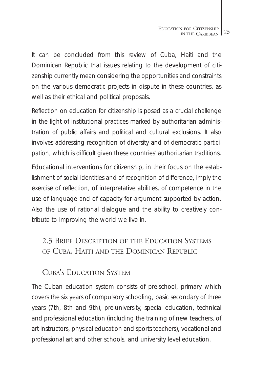*It can be concluded from this review of Cuba, Haiti and the Dominican Republic that issues relating to the development of citizenship currently mean considering the opportunities and constraints on the various democratic projects in dispute in these countries, as well as their ethical and political proposals.*

*Reflection on education for citizenship is posed as a crucial challenge in the light of institutional practices marked by authoritarian administration of public affairs and political and cultural exclusions. It also involves addressing recognition of diversity and of democratic participation, which is difficult given these countries' authoritarian traditions.*

*Educational interventions for citizenship, in their focus on the establishment of social identities and of recognition of difference, imply the exercise of reflection, of interpretative abilities, of competence in the use of language and of capacity for argument supported by action. Also the use of rational dialogue and the ability to creatively contribute to improving the world we live in.*

#### 2.3 BRIEF DESCRIPTION OF THE EDUCATION SYSTEMS OF CUBA, HAITI AND THE DOMINICAN REPUBLIC

#### CUBA'S EDUCATION SYSTEM

*The Cuban education system consists of pre-school, primary which covers the six years of compulsory schooling, basic secondary of three years (7th, 8th and 9th), pre-university, special education, technical and professional education (including the training of new teachers, of art instructors, physical education and sports teachers), vocational and professional art and other schools, and university level education.*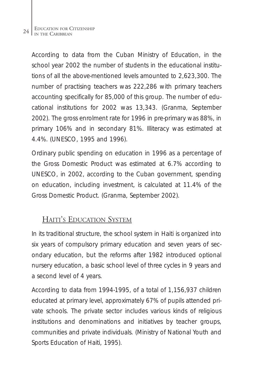*According to data from the Cuban Ministry of Education, in the school year 2002 the number of students in the educational institutions of all the above-mentioned levels amounted to 2,623,300. The number of practising teachers was 222,286 with primary teachers accounting specifically for 85,000 of this group. The number of educational institutions for 2002 was 13,343. (Granma, September 2002). The gross enrolment rate for 1996 in pre-primary was 88%, in primary 106% and in secondary 81%. Illiteracy was estimated at 4.4%. (UNESCO, 1995 and 1996).*

*Ordinary public spending on education in 1996 as a percentage of the Gross Domestic Product was estimated at 6.7% according to UNESCO, in 2002, according to the Cuban government, spending on education, including investment, is calculated at 11.4% of the Gross Domestic Product. (Granma, September 2002).*

#### HAITI'S EDUCATION SYSTEM

*In its traditional structure, the school system in Haiti is organized into six years of compulsory primary education and seven years of secondary education, but the reforms after 1982 introduced optional nursery education, a basic school level of three cycles in 9 years and a second level of 4 years.*

*According to data from 1994-1995, of a total of 1,156,937 children educated at primary level, approximately 67% of pupils attended private schools. The private sector includes various kinds of religious institutions and denominations and initiatives by teacher groups, communities and private individuals. (Ministry of National Youth and Sports Education of Haiti, 1995).*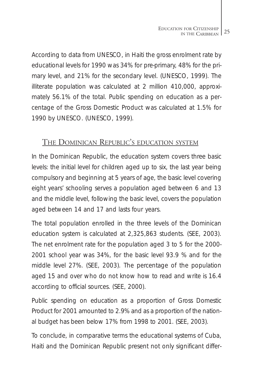*According to data from UNESCO, in Haiti the gross enrolment rate by educational levels for 1990 was 34% for pre-primary, 48% for the primary level, and 21% for the secondary level. (UNESCO, 1999). The illiterate population was calculated at 2 million 410,000, approximately 56.1% of the total. Public spending on education as a percentage of the Gross Domestic Product was calculated at 1.5% for 1990 by UNESCO. (UNESCO, 1999).*

#### THE DOMINICAN REPUBLIC'S EDUCATION SYSTEM

*In the Dominican Republic, the education system covers three basic levels: the initial level for children aged up to six, the last year being compulsory and beginning at 5 years of age, the basic level covering eight years' schooling serves a population aged between 6 and 13 and the middle level, following the basic level, covers the population aged between 14 and 17 and lasts four years.*

*The total population enrolled in the three levels of the Dominican education system is calculated at 2,325,863 students. (SEE, 2003). The net enrolment rate for the population aged 3 to 5 for the 2000- 2001 school year was 34%, for the basic level 93.9 % and for the middle level 27%. (SEE, 2003). The percentage of the population aged 15 and over who do not know how to read and write is 16.4 according to official sources. (SEE, 2000).* 

*Public spending on education as a proportion of Gross Domestic Product for 2001 amounted to 2.9% and as a proportion of the national budget has been below 17% from 1998 to 2001. (SEE, 2003).*

*To conclude, in comparative terms the educational systems of Cuba, Haiti and the Dominican Republic present not only significant differ-*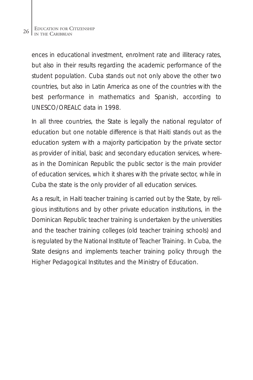*ences in educational investment, enrolment rate and illiteracy rates, but also in their results regarding the academic performance of the student population. Cuba stands out not only above the other two countries, but also in Latin America as one of the countries with the best performance in mathematics and Spanish, according to UNESCO/OREALC data in 1998.* 

*In all three countries, the State is legally the national regulator of education but one notable difference is that Haiti stands out as the education system with a majority participation by the private sector as provider of initial, basic and secondary education services, whereas in the Dominican Republic the public sector is the main provider of education services, which it shares with the private sector, while in Cuba the state is the only provider of all education services.*

*As a result, in Haiti teacher training is carried out by the State, by religious institutions and by other private education institutions, in the Dominican Republic teacher training is undertaken by the universities and the teacher training colleges (old teacher training schools) and is regulated by the National Institute of Teacher Training. In Cuba, the State designs and implements teacher training policy through the Higher Pedagogical Institutes and the Ministry of Education.*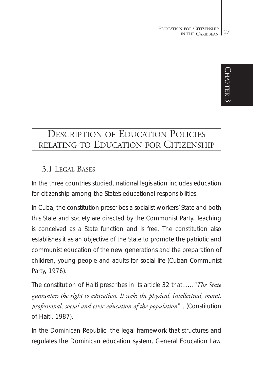## DESCRIPTION OF EDUCATION POLICIES RELATING TO EDUCATION FOR CITIZENSHIP

#### 3.1 LEGAL BASES

*In the three countries studied, national legislation includes education* for citizenship among the State's educational responsibilities.

*In Cuba, the constitution prescribes a socialist workers' State and both this State and society are directed by the Communist Party. Teaching is conceived as a State function and is free. The constitution also establishes it as an objective of the State to promote the patriotic and communist education of the new generations and the preparation of children, young people and adults for social life (Cuban Communist Party, 1976).*

*The constitution of Haiti prescribes in its article 32 that......"The State guarantees the right to education. It seeks the physical, intellectual, moral, professional, social and civic education of the population"... (Constitution of Haiti, 1987).* 

*In the Dominican Republic, the legal framework that structures and regulates the Dominican education system, General Education Law*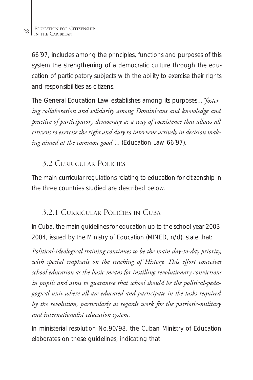*66´97, includes among the principles, functions and purposes of this system the strengthening of a democratic culture through the education of participatory subjects with the ability to exercise their rights and responsibilities as citizens.*

*The General Education Law establishes among its purposes..."fostering collaboration and solidarity among Dominicans and knowledge and practice of participatory democracy as a way of coexistence that allows all citizens to exercise the right and duty to intervene actively in decision making aimed at the common good"... (Education Law 66´97).*

#### 3.2 CURRICULAR POLICIES

*The main curricular regulations relating to education for citizenship in the three countries studied are described below.*

#### 3.2.1 CURRICULAR POLICIES IN CUBA

*In Cuba, the main guidelines for education up to the school year 2003- 2004, issued by the Ministry of Education (MINED, n/d), state that:*

*Political-ideological training continues to be the main day-to-day priority, with special emphasis on the teaching of History. This effort conceives school education as the basic means for instilling revolutionary convictions in pupils and aims to guarantee that school should be the political-pedagogical unit where all are educated and participate in the tasks required by the revolution, particularly as regards work for the patriotic-military and internationalist education system.*

*In ministerial resolution No.90/98, the Cuban Ministry of Education elaborates on these guidelines, indicating that*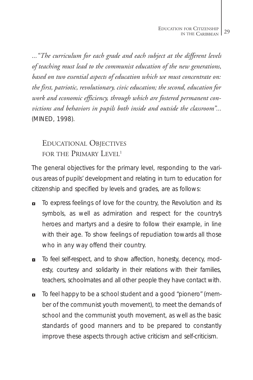*..."The curriculum for each grade and each subject at the different levels of teaching must lead to the communist education of the new generations, based on two essential aspects of education which we must concentrate on: the first, patriotic, revolutionary, civic education; the second, education for work and economic efficiency, through which are fostered permanent convictions and behaviors in pupils both inside and outside the classroom"... (MINED, 1998).* 

#### EDUCATIONAL OBJECTIVES FOR THE PRIMARY LEVEL<sup>1</sup>

*The general objectives for the primary level, responding to the various areas of pupils' development and relating in turn to education for citizenship and specified by levels and grades, are as follows:*

- *To express feelings of love for the country, the Revolution and its* п. *symbols, as well as admiration and respect for the country's heroes and martyrs and a desire to follow their example, in line with their age. To show feelings of repudiation towards all those who in any way offend their country.*
- *To feel self-respect, and to show affection, honesty, decency, mod*o. *esty, courtesy and solidarity in their relations with their families, teachers, schoolmates and all other people they have contact with.*
- *To feel happy to be a school student and a good "pionero" (mem*п. *ber of the communist youth movement), to meet the demands of school and the communist youth movement, as well as the basic standards of good manners and to be prepared to constantly improve these aspects through active criticism and self-criticism.*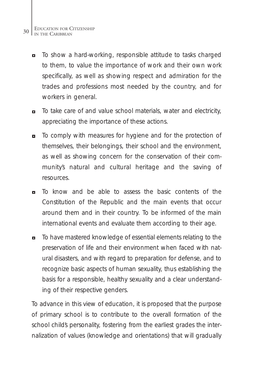## $30 \parallel$  EDUCATION FOR CITIZENSHIP

- o. *To show a hard-working, responsible attitude to tasks charged to them, to value the importance of work and their own work specifically, as well as showing respect and admiration for the trades and professions most needed by the country, and for workers in general.*
- *To take care of and value school materials, water and electricity,* α. *appreciating the importance of these actions.*
- *To comply with measures for hygiene and for the protection of* п. *themselves, their belongings, their school and the environment, as well as showing concern for the conservation of their community's natural and cultural heritage and the saving of resources.*
- *To know and be able to assess the basic contents of the* o. *Constitution of the Republic and the main events that occur around them and in their country. To be informed of the main international events and evaluate them according to their age.*
- *To have mastered knowledge of essential elements relating to the* O. *preservation of life and their environment when faced with natural disasters, and with regard to preparation for defense, and to recognize basic aspects of human sexuality, thus establishing the basis for a responsible, healthy sexuality and a clear understanding of their respective genders.*

*To advance in this view of education, it is proposed that the purpose of primary school is to contribute to the overall formation of the school child's personality, fostering from the earliest grades the internalization of values (knowledge and orientations) that will gradually*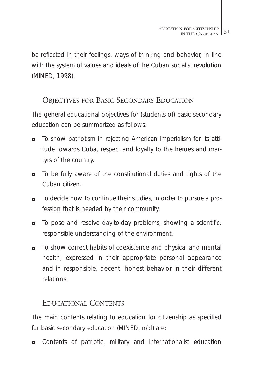*be reflected in their feelings, ways of thinking and behavior, in line with the system of values and ideals of the Cuban socialist revolution (MINED, 1998).*

#### OBJECTIVES FOR BASIC SECONDARY EDUCATION

*The general educational objectives for (students of) basic secondary education can be summarized as follows:*

- *To show patriotism in rejecting American imperialism for its atti*o, *tude towards Cuba, respect and loyalty to the heroes and martyrs of the country.*
- *To be fully aware of the constitutional duties and rights of the* α. *Cuban citizen.*
- *To decide how to continue their studies, in order to pursue a pro*п. *fession that is needed by their community.*
- *To pose and resolve day-to-day problems, showing a scientific,* п. *responsible understanding of the environment.*
- $\blacksquare$ *To show correct habits of coexistence and physical and mental health, expressed in their appropriate personal appearance and in responsible, decent, honest behavior in their different relations.*

#### EDUCATIONAL CONTENTS

*The main contents relating to education for citizenship as specified for basic secondary education (MINED, n/d) are:*

*Contents of patriotic, military and internationalist education* п.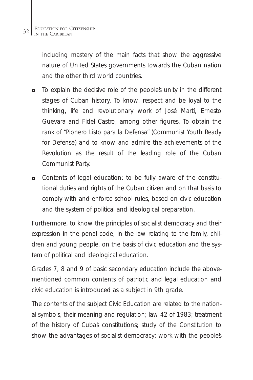*including mastery of the main facts that show the aggressive nature of United States governments towards the Cuban nation and the other third world countries.* 

- *To explain the decisive role of the people's unity in the different* п. *stages of Cuban history. To know, respect and be loyal to the thinking, life and revolutionary work of José Martí, Ernesto Guevara and Fidel Castro, among other figures. To obtain the rank of "Pionero Listo para la Defensa" (Communist Youth Ready for Defense) and to know and admire the achievements of the Revolution as the result of the leading role of the Cuban Communist Party.*
- *Contents of legal education: to be fully aware of the constitu*п. *tional duties and rights of the Cuban citizen and on that basis to comply with and enforce school rules, based on civic education and the system of political and ideological preparation.*

*Furthermore, to know the principles of socialist democracy and their expression in the penal code, in the law relating to the family, children and young people, on the basis of civic education and the system of political and ideological education.*

*Grades 7, 8 and 9 of basic secondary education include the abovementioned common contents of patriotic and legal education and civic education is introduced as a subject in 9th grade.*

*The contents of the subject Civic Education are related to the national symbols, their meaning and regulation; law 42 of 1983; treatment of the history of Cuba's constitutions; study of the Constitution to show the advantages of socialist democracy; work with the people's*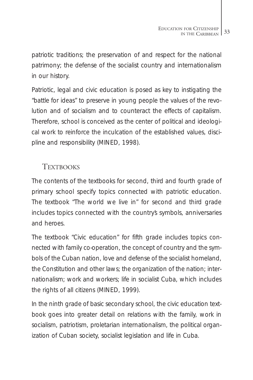*patriotic traditions; the preservation of and respect for the national patrimony; the defense of the socialist country and internationalism in our history.*

*Patriotic, legal and civic education is posed as key to instigating the "battle for ideas" to preserve in young people the values of the revolution and of socialism and to counteract the effects of capitalism. Therefore, school is conceived as the center of political and ideological work to reinforce the inculcation of the established values, discipline and responsibility (MINED, 1998).*

#### **TEXTBOOKS**

*The contents of the textbooks for second, third and fourth grade of primary school specify topics connected with patriotic education. The textbook "The world we live in" for second and third grade includes topics connected with the country's symbols, anniversaries and heroes.* 

*The textbook "Civic education" for fifth grade includes topics connected with family co-operation, the concept of country and the symbols of the Cuban nation, love and defense of the socialist homeland, the Constitution and other laws; the organization of the nation; internationalism; work and workers; life in socialist Cuba, which includes the rights of all citizens (MINED, 1999).*

*In the ninth grade of basic secondary school, the civic education textbook goes into greater detail on relations with the family, work in socialism, patriotism, proletarian internationalism, the political organization of Cuban society, socialist legislation and life in Cuba.*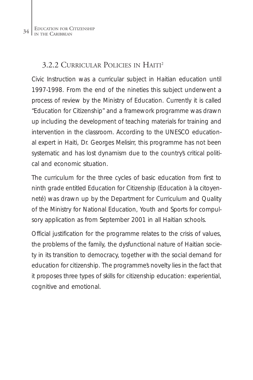34 EDUCATION FOR CITIZENSHIP<br>IN THE CARIBBEAN

#### 3.2.2 CURRICULAR POLICIES IN HAITI2

*Civic Instruction was a curricular subject in Haitian education until 1997-1998. From the end of the nineties this subject underwent a process of review by the Ministry of Education. Currently it is called "Education for Citizenship" and a framework programme was drawn up including the development of teaching materials for training and intervention in the classroom. According to the UNESCO educational expert in Haiti, Dr. Georges Melisirr, this programme has not been systematic and has lost dynamism due to the country's critical political and economic situation.*

*The curriculum for the three cycles of basic education from first to ninth grade entitled Education for Citizenship (Education à la citoyenneté) was drawn up by the Department for Curriculum and Quality of the Ministry for National Education, Youth and Sports for compulsory application as from September 2001 in all Haitian schools.*

*Official justification for the programme relates to the crisis of values, the problems of the family, the dysfunctional nature of Haitian society in its transition to democracy, together with the social demand for* education for citizenship. The programme's novelty lies in the fact that *it proposes three types of skills for citizenship education: experiential, cognitive and emotional.*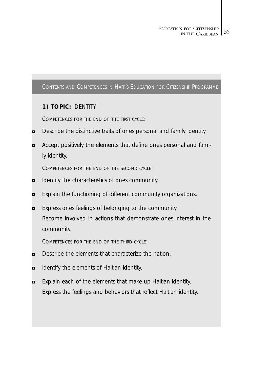#### *CONTENTS AND COMPETENCES IN HAITI'S EDUCATION FOR CITIZENSHIP PROGRAMME*

#### *1) TOPIC: IDENTITY*

*COMPETENCES FOR THE END OF THE FIRST CYCLE:*

- *Describe the distinctive traits of ones personal and family identity.*  .
- *Accept positively the elements that define ones personal and fami*о. *ly identity.*

*COMPETENCES FOR THE END OF THE SECOND CYCLE:*

- *Identify the characteristics of ones community.* α.
- *Explain the functioning of different community organizations.* α.
- *Express ones feelings of belonging to the community.* o. *Become involved in actions that demonstrate ones interest in the community.*

*COMPETENCES FOR THE END OF THE THIRD CYCLE:*

- *Describe the elements that characterize the nation.*  α.
- *Identify the elements of Haitian identity.* α.
- *Explain each of the elements that make up Haitian identity.* o. *Express the feelings and behaviors that reflect Haitian identity.*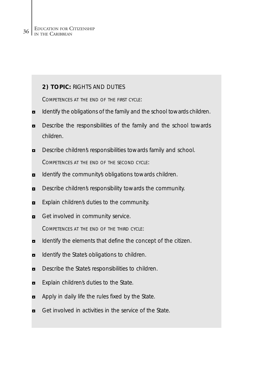#### *2) TOPIC: RIGHTS AND DUTIES*

*COMPETENCES AT THE END OF THE FIRST CYCLE:*

- *Identify the obligations of the family and the school towards children.* α.
- о. *Describe the responsibilities of the family and the school towards children.*
- *Describe children's responsibilities towards family and school.* o *COMPETENCES AT THE END OF THE SECOND CYCLE:*
- *Identify the community's obligations towards children.* п.
- *Describe children's responsibility towards the community.* α.
- o *Explain children's duties to the community.*
- *Get involved in community service.* α.

*COMPETENCES AT THE END OF THE THIRD CYCLE:*

- α. *Identify the elements that define the concept of the citizen.*
- *Identify the State's obligations to children.* о.
- *Describe the State's responsibilities to children.* α.
- *Explain children's duties to the State.*  о.
- *Apply in daily life the rules fixed by the State.* о.
- *Get involved in activities in the service of the State.* α.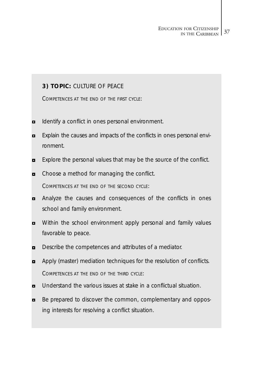### *3) TOPIC: CULTURE OF PEACE*

*COMPETENCES AT THE END OF THE FIRST CYCLE:*

- *Identify a conflict in ones personal environment.*  α.
- *Explain the causes and impacts of the conflicts in ones personal envi*о. *ronment.*
- *Explore the personal values that may be the source of the conflict.* α.
- o *Choose a method for managing the conflict.*

*COMPETENCES AT THE END OF THE SECOND CYCLE:*

- *Analyze the causes and consequences of the conflicts in ones* α. *school and family environment.*
- *Within the school environment apply personal and family values* α. *favorable to peace.*
- α, *Describe the competences and attributes of a mediator.*
- *Apply (master) mediation techniques for the resolution of conflicts.* α. *COMPETENCES AT THE END OF THE THIRD CYCLE:*
- *Understand the various issues at stake in a conflictual situation.*  п.
- *Be prepared to discover the common, complementary and oppos*o. *ing interests for resolving a conflict situation.*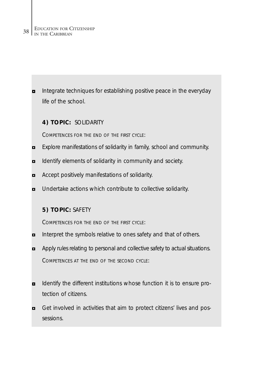*Integrate techniques for establishing positive peace in the everyday* α. *life of the school.*

### *4) TOPIC: SOLIDARITY*

*COMPETENCES FOR THE END OF THE FIRST CYCLE:*

- *Explore manifestations of solidarity in family, school and community.* o.
- *Identify elements of solidarity in community and society.* α.
- *Accept positively manifestations of solidarity.* α.
- о. *Undertake actions which contribute to collective solidarity.*

### *5) TOPIC: SAFETY*

*COMPETENCES FOR THE END OF THE FIRST CYCLE:*

- *Interpret the symbols relative to ones safety and that of others.*  o
- *Apply rules relating to personal and collective safety to actual situations.* α. *COMPETENCES AT THE END OF THE SECOND CYCLE:*
- *Identify the different institutions whose function it is to ensure pro*α, *tection of citizens.*
- *Get involved in activities that aim to protect citizens' lives and pos-*0 *sessions.*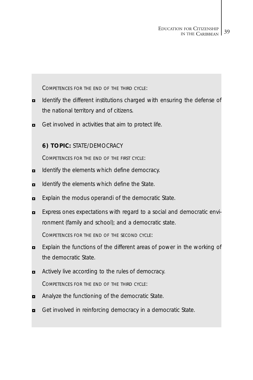*COMPETENCES FOR THE END OF THE THIRD CYCLE:*

- *Identify the different institutions charged with ensuring the defense of* α. *the national territory and of citizens.*
- *Get involved in activities that aim to protect life.* α.

### *6) TOPIC: STATE/DEMOCRACY*

*COMPETENCES FOR THE END OF THE FIRST CYCLE:*

- o. *Identify the elements which define democracy.*
- *Identify the elements which define the State.* α.
- *Explain the modus operandi of the democratic State.*  α.
- *Express ones expectations with regard to a social and democratic envi*о. *ronment (family and school); and a democratic state.*

*COMPETENCES FOR THE END OF THE SECOND CYCLE:*

- *Explain the functions of the different areas of power in the working of* α. *the democratic State.*
- *Actively live according to the rules of democracy.* П.

*COMPETENCES FOR THE END OF THE THIRD CYCLE:*

- *Analyze the functioning of the democratic State.*  o.
- *Get involved in reinforcing democracy in a democratic State.* α.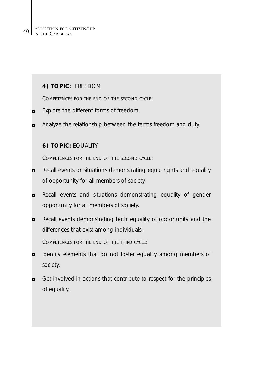$40$   $\Big|$  Education for Citizenship<br>In the Caribbean

### *4) TOPIC: FREEDOM*

*COMPETENCES FOR THE END OF THE SECOND CYCLE:*

- *Explore the different forms of freedom.* o
- *Analyze the relationship between the terms freedom and duty.* α.

### *6) TOPIC: EQUALITY*

*COMPETENCES FOR THE END OF THE SECOND CYCLE:*

- *Recall events or situations demonstrating equal rights and equality* o. *of opportunity for all members of society.*
- *Recall events and situations demonstrating equality of gender* α. *opportunity for all members of society.*
- *Recall events demonstrating both equality of opportunity and the* α. *differences that exist among individuals.*

*COMPETENCES FOR THE END OF THE THIRD CYCLE:*

- *Identify elements that do not foster equality among members of* o. *society.*
- *Get involved in actions that contribute to respect for the principles* α. *of equality.*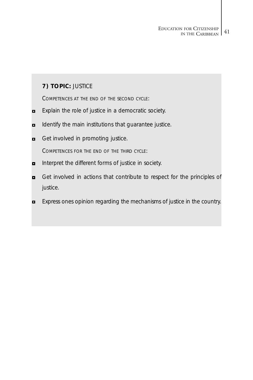### *7) TOPIC: JUSTICE*

*COMPETENCES AT THE END OF THE SECOND CYCLE:*

- *Explain the role of justice in a democratic society.*  $\blacksquare$
- *Identify the main institutions that guarantee justice.*  $\blacksquare$
- *Get involved in promoting justice.* о.

*COMPETENCES FOR THE END OF THE THIRD CYCLE:*

- *Interpret the different forms of justice in society.* o.
- *Get involved in actions that contribute to respect for the principles of* п. *justice.*
- *Express ones opinion regarding the mechanisms of justice in the country.* o.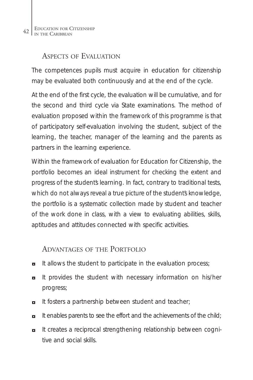### ASPECTS OF EVALUATION

*The competences pupils must acquire in education for citizenship may be evaluated both continuously and at the end of the cycle.*

*At the end of the first cycle, the evaluation will be cumulative, and for the second and third cycle via State examinations. The method of evaluation proposed within the framework of this programme is that of participatory self-evaluation involving the student, subject of the learning, the teacher, manager of the learning and the parents as partners in the learning experience.*

*Within the framework of evaluation for Education for Citizenship, the portfolio becomes an ideal instrument for checking the extent and progress of the student's learning. In fact, contrary to traditional tests, which do not always reveal a true picture of the student's knowledge, the portfolio is a systematic collection made by student and teacher of the work done in class, with a view to evaluating abilities, skills, aptitudes and attitudes connected with specific activities.*

### ADVANTAGES OF THE PORTFOLIO

- *It allows the student to participate in the evaluation process;* o,
- *It provides the student with necessary information on his/her* α. *progress;*
- *It fosters a partnership between student and teacher;* D.
- *It enables parents to see the effort and the achievements of the child;* п.
- *It creates a reciprocal strengthening relationship between cogni*п. *tive and social skills.*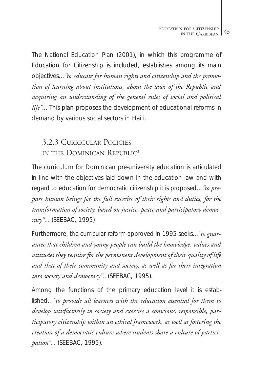*The National Education Plan (2001), in which this programme of Education for Citizenship is included, establishes among its main objectives..."to educate for human rights and citizenship and the promotion of learning about institutions, about the laws of the Republic and acquiring an understanding of the general rules of social and political life"... This plan proposes the development of educational reforms in demand by various social sectors in Haiti.* 

# 3.2.3 CURRICULAR POLICIES IN THE DOMINICAN REPUBLIC<sup>3</sup>

*The curriculum for Dominican pre-university education is articulated in line with the objectives laid down in the education law and with regard to education for democratic citizenship it is proposed..."to prepare human beings for the full exercise of their rights and duties, for the transformation of society, based on justice, peace and participatory democracy"... (SEEBAC, 1995)*

*Furthermore, the curricular reform approved in 1995 seeks..."to guarantee that children and young people can build the knowledge, values and attitudes they require for the permanent development of their quality of life and that of their community and society, as well as for their integration into society and democracy"...(SEEBAC, 1995).*

*Among the functions of the primary education level it is established..."to provide all learners with the education essential for them to develop satisfactorily in society and exercise a conscious, responsible, participatory citizenship within an ethical framework, as well as fostering the creation of a democratic culture where students share a culture of participation"... (SEEBAC, 1995).*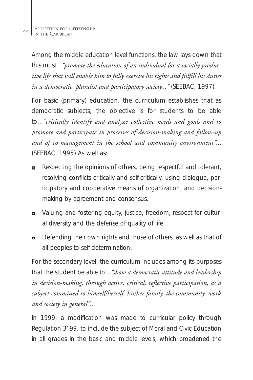*Among the middle education level functions, the law lays down that this must..."promote the education of an individual for a socially productive life that will enable him to fully exercise his rights and fulfill his duties in a democratic, pluralist and participatory society..." (SEEBAC, 1997).*

*For basic (primary) education, the curriculum establishes that as democratic subjects, the objective is for students to be able to..."critically identify and analyze collective needs and goals and to promote and participate in processes of decision-making and follow-up and of co-management in the school and community environment"... (SEEBAC, 1995) As well as:*

- *Respecting the opinions of others, being respectful and tolerant,* o. *resolving conflicts critically and self-critically, using dialogue, participatory and cooperative means of organization, and decisionmaking by agreement and consensus.*
- *Valuing and fostering equity, justice, freedom, respect for cultur-* $\blacksquare$ *al diversity and the defense of quality of life.*
- *Defending their own rights and those of others, as well as that of* α. *all peoples to self-determination.*

*For the secondary level, the curriculum includes among its purposes that the student be able to..."show a democratic attitude and leadership in decision-making, through active, critical, reflective participation, as a subject committed to himself/herself, his/her family, the community, work and society in general"...*

*In 1999, a modification was made to curricular policy through Regulation 3' 99, to include the subject of Moral and Civic Education in all grades in the basic and middle levels, which broadened the*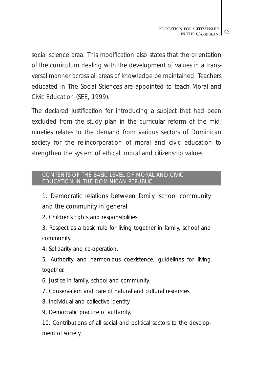*social science area. This modification also states that the orientation of the curriculum dealing with the development of values in a transversal manner across all areas of knowledge be maintained. Teachers educated in The Social Sciences are appointed to teach Moral and Civic Education (SEE, 1999).*

*The declared justification for introducing a subject that had been excluded from the study plan in the curricular reform of the midnineties relates to the demand from various sectors of Dominican society for the re-incorporation of moral and civic education to strengthen the system of ethical, moral and citizenship values.*

#### *CONTENTS OF THE BASIC LEVEL OF MORAL AND CIVIC EDUCATION IN THE DOMINICAN REPUBLIC*

*1. Democratic relations between family, school community and the community in general.*

*2. Children's rights and responsibilities.*

- *3. Respect as a basic rule for living together in family, school and community.*
- *4. Solidarity and co-operation.*
- *5. Authority and harmonious coexistence, guidelines for living together.*
- *6. Justice in family, school and community.*
- *7. Conservation and care of natural and cultural resources.*
- *8. Individual and collective identity.*
- *9. Democratic practice of authority.*

*10. Contributions of all social and political sectors to the development of society.*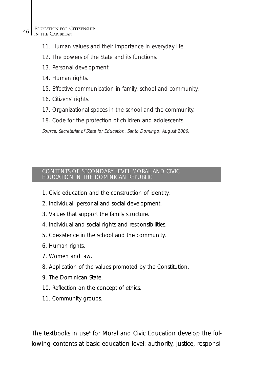# 46 EDUCATION FOR CITIZENSHIP<br>IN THE CARIBBEAN

- *11. Human values and their importance in everyday life.*
- *12. The powers of the State and its functions.*
- *13. Personal development.*
- *14. Human rights.*
- *15. Effective communication in family, school and community.*
- *16. Citizens' rights.*
- *17. Organizational spaces in the school and the community.*
- *18. Code for the protection of children and adolescents.*

*Source: Secretariat of State for Education. Santo Domingo. August 2000.*

#### *CONTENTS OF SECONDARY LEVEL MORAL AND CIVIC EDUCATION IN THE DOMINICAN REPUBLIC*

- *1. Civic education and the construction of identity.*
- *2. Individual, personal and social development.*
- *3. Values that support the family structure.*
- *4. Individual and social rights and responsibilities.*
- *5. Coexistence in the school and the community.*
- *6. Human rights.*
- *7. Women and law.*
- *8. Application of the values promoted by the Constitution.*
- *9. The Dominican State.*
- *10. Reflection on the concept of ethics.*
- *11. Community groups.*

*The textbooks in use4 for Moral and Civic Education develop the following contents at basic education level: authority, justice, responsi-*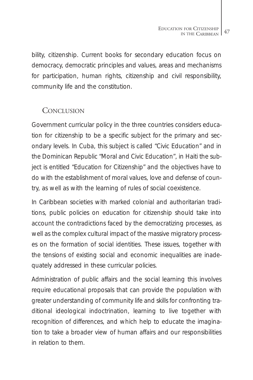*bility, citizenship. Current books for secondary education focus on democracy, democratic principles and values, areas and mechanisms for participation, human rights, citizenship and civil responsibility, community life and the constitution.*

### CONCLUSION

*Government curricular policy in the three countries considers education for citizenship to be a specific subject for the primary and secondary levels. In Cuba, this subject is called "Civic Education" and in the Dominican Republic "Moral and Civic Education", in Haiti the subject is entitled "Education for Citizenship" and the objectives have to do with the establishment of moral values, love and defense of country, as well as with the learning of rules of social coexistence.* 

*In Caribbean societies with marked colonial and authoritarian traditions, public policies on education for citizenship should take into account the contradictions faced by the democratizing processes, as well as the complex cultural impact of the massive migratory processes on the formation of social identities. These issues, together with the tensions of existing social and economic inequalities are inadequately addressed in these curricular policies.*

*Administration of public affairs and the social learning this involves require educational proposals that can provide the population with greater understanding of community life and skills for confronting traditional ideological indoctrination, learning to live together with recognition of differences, and which help to educate the imagination to take a broader view of human affairs and our responsibilities in relation to them.*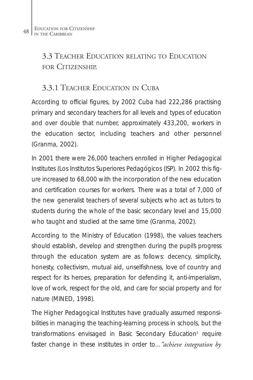# 3.3 TEACHER EDUCATION RELATING TO EDUCATION FOR CITIZENSHIP.

# 3.3.1 TEACHER EDUCATION IN CUBA

*According to official figures, by 2002 Cuba had 222,286 practising primary and secondary teachers for all levels and types of education and over double that number, approximately 433,200, workers in the education sector, including teachers and other personnel (Granma, 2002).*

*In 2001 there were 26,000 teachers enrolled in Higher Pedagogical Institutes (Los Institutos Superiores Pedagógicos (ISP). In 2002 this figure increased to 68,000 with the incorporation of the new education and certification courses for workers. There was a total of 7,000 of the new generalist teachers of several subjects who act as tutors to students during the whole of the basic secondary level and 15,000 who taught and studied at the same time (Granma, 2002).*

*According to the Ministry of Education (1998), the values teachers should establish, develop and strengthen during the pupil's progress through the education system are as follows: decency, simplicity, honesty, collectivism, mutual aid, unselfishness, love of country and respect for its heroes, preparation for defending it, anti-imperialism, love of work, respect for the old, and care for social property and for nature (MINED, 1998).*

*The Higher Pedagogical Institutes have gradually assumed responsibilities in managing the teaching-learning process in schools, but the transformations envisaged in Basic Secondary Education5 require faster change in these institutes in order to..."achieve integration by*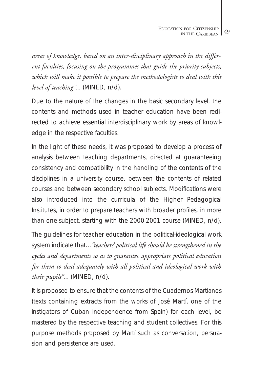*areas of knowledge, based on an inter-disciplinary approach in the different faculties, focusing on the programmes that guide the priority subjects, which will make it possible to prepare the methodologists to deal with this level of teaching"... (MINED, n/d).*

*Due to the nature of the changes in the basic secondary level, the contents and methods used in teacher education have been redirected to achieve essential interdisciplinary work by areas of knowledge in the respective faculties.*

*In the light of these needs, it was proposed to develop a process of analysis between teaching departments, directed at guaranteeing consistency and compatibility in the handling of the contents of the disciplines in a university course, between the contents of related courses and between secondary school subjects. Modifications were also introduced into the curricula of the Higher Pedagogical Institutes, in order to prepare teachers with broader profiles, in more than one subject, starting with the 2000-2001 course (MINED, n/d).*

*The guidelines for teacher education in the political-ideological work system indicate that..."teachers' political life should be strengthened in the cycles and departments so as to guarantee appropriate political education for them to deal adequately with all political and ideological work with their pupils"... (MINED, n/d).*

*It is proposed to ensure that the contents of the Cuadernos Martianos (texts containing extracts from the works of José Martí, one of the instigators of Cuban independence from Spain) for each level, be mastered by the respective teaching and student collectives. For this purpose methods proposed by Martí such as conversation, persuasion and persistence are used.*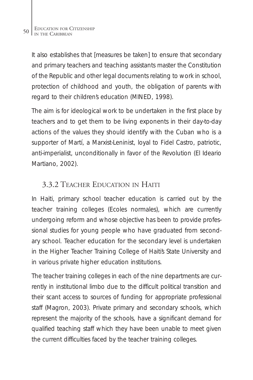*It also establishes that [measures be taken] to ensure that secondary and primary teachers and teaching assistants master the Constitution of the Republic and other legal documents relating to work in school, protection of childhood and youth, the obligation of parents with regard to their children's education (MINED, 1998).*

*The aim is for ideological work to be undertaken in the first place by teachers and to get them to be living exponents in their day-to-day actions of the values they should identify with the Cuban who is a supporter of Martí, a Marxist-Leninist, loyal to Fidel Castro, patriotic, anti-imperialist, unconditionally in favor of the Revolution (El Ideario Martiano, 2002).*

# 3.3.2 TEACHER EDUCATION IN HAITI

*In Haiti, primary school teacher education is carried out by the teacher training colleges (Ecoles normales), which are currently undergoing reform and whose objective has been to provide professional studies for young people who have graduated from secondary school. Teacher education for the secondary level is undertaken in the Higher Teacher Training College of Haiti's State University and in various private higher education institutions.*

*The teacher training colleges in each of the nine departments are currently in institutional limbo due to the difficult political transition and their scant access to sources of funding for appropriate professional staff (Magron, 2003). Private primary and secondary schools, which represent the majority of the schools, have a significant demand for qualified teaching staff which they have been unable to meet given the current difficulties faced by the teacher training colleges.*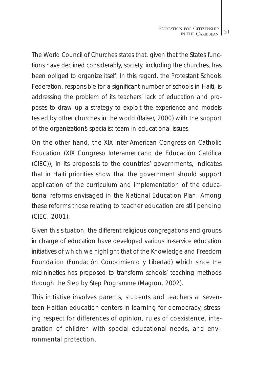The World Council of Churches states that, given that the States func*tions have declined considerably, society, including the churches, has been obliged to organize itself. In this regard, the Protestant Schools Federation, responsible for a significant number of schools in Haiti, is addressing the problem of its teachers' lack of education and proposes to draw up a strategy to exploit the experience and models tested by other churches in the world (Raiser, 2000) with the support of the organization's specialist team in educational issues.*

*On the other hand, the XIX Inter-American Congress on Catholic Education (XIX Congreso Interamericano de Educación Católica (CIEC)), in its proposals to the countries' governments, indicates that in Haiti priorities show that the government should support application of the curriculum and implementation of the educational reforms envisaged in the National Education Plan. Among these reforms those relating to teacher education are still pending (CIEC, 2001).*

*Given this situation, the different religious congregations and groups in charge of education have developed various in-service education initiatives of which we highlight that of the Knowledge and Freedom Foundation (Fundación Conocimiento y Libertad) which since the mid-nineties has proposed to transform schools' teaching methods through the Step by Step Programme (Magron, 2002).*

*This initiative involves parents, students and teachers at seventeen Haitian education centers in learning for democracy, stressing respect for differences of opinion, rules of coexistence, integration of children with special educational needs, and environmental protection.*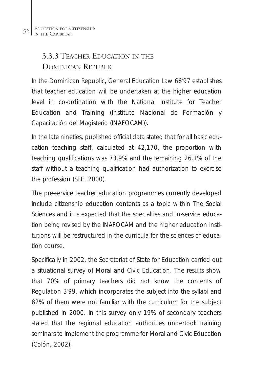# 3.3.3 TEACHER EDUCATION IN THE DOMINICAN REPUBLIC

*In the Dominican Republic, General Education Law 66'97 establishes that teacher education will be undertaken at the higher education level in co-ordination with the National Institute for Teacher Education and Training (Instituto Nacional de Formación y Capacitación del Magisterio (INAFOCAM)).*

*In the late nineties, published official data stated that for all basic education teaching staff, calculated at 42,170, the proportion with teaching qualifications was 73.9% and the remaining 26.1% of the staff without a teaching qualification had authorization to exercise the profession (SEE, 2000).* 

*The pre-service teacher education programmes currently developed include citizenship education contents as a topic within The Social Sciences and it is expected that the specialties and in-service education being revised by the INAFOCAM and the higher education institutions will be restructured in the curricula for the sciences of education course.*

*Specifically in 2002, the Secretariat of State for Education carried out a situational survey of Moral and Civic Education. The results show that 70% of primary teachers did not know the contents of Regulation 3'99, which incorporates the subject into the syllabi and 82% of them were not familiar with the curriculum for the subject published in 2000. In this survey only 19% of secondary teachers stated that the regional education authorities undertook training seminars to implement the programme for Moral and Civic Education (Colón, 2002).*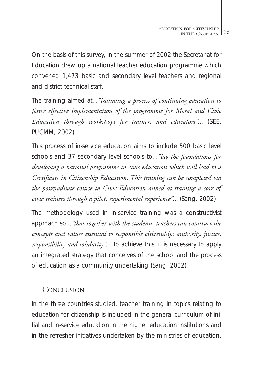*On the basis of this survey, in the summer of 2002 the Secretariat for Education drew up a national teacher education programme which convened 1,473 basic and secondary level teachers and regional and district technical staff.*

*The training aimed at..."initiating a process of continuing education to foster effective implementation of the programme for Moral and Civic Education through workshops for trainers and educators"... (SEE. PUCMM, 2002).*

*This process of in-service education aims to include 500 basic level schools and 37 secondary level schools to..."lay the foundations for developing a national programme in civic education which will lead to a Certificate in Citizenship Education. This training can be completed via the postgraduate course in Civic Education aimed at training a core of civic trainers through a pilot, experimental experience"... (Sang, 2002)* 

*The methodology used in in-service training was a constructivist approach so..."that together with the students, teachers can construct the concepts and values essential to responsible citizenship: authority, justice, responsibility and solidarity"... To achieve this, it is necessary to apply an integrated strategy that conceives of the school and the process of education as a community undertaking (Sang, 2002).*

### CONCLUSION

*In the three countries studied, teacher training in topics relating to education for citizenship is included in the general curriculum of initial and in-service education in the higher education institutions and in the refresher initiatives undertaken by the ministries of education.*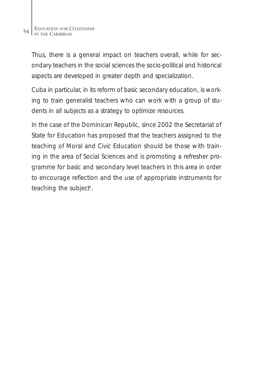*Thus, there is a general impact on teachers overall, while for secondary teachers in the social sciences the socio-political and historical aspects are developed in greater depth and specialization.*

*Cuba in particular, in its reform of basic secondary education, is working to train generalist teachers who can work with a group of students in all subjects as a strategy to optimize resources.*

*In the case of the Dominican Republic, since 2002 the Secretariat of State for Education has proposed that the teachers assigned to the teaching of Moral and Civic Education should be those with training in the area of Social Sciences and is promoting a refresher programme for basic and secondary level teachers in this area in order to encourage reflection and the use of appropriate instruments for* teaching the subject<sup>6</sup>.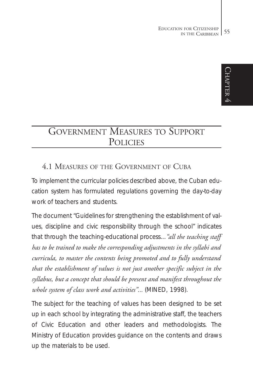# GOVERNMENT MEASURES TO SUPPORT **POLICIES**

# 4.1 MEASURES OF THE GOVERNMENT OF CUBA

*To implement the curricular policies described above, the Cuban education system has formulated regulations governing the day-to-day work of teachers and students.*

*The document "Guidelines for strengthening the establishment of values, discipline and civic responsibility through the school" indicates that through the teaching-educational process..."all the teaching staff has to be trained to make the corresponding adjustments in the syllabi and curricula, to master the contents being promoted and to fully understand that the establishment of values is not just another specific subject in the syllabus, but a concept that should be present and manifest throughout the whole system of class work and activities"... (MINED, 1998).*

*The subject for the teaching of values has been designed to be set up in each school by integrating the administrative staff, the teachers of Civic Education and other leaders and methodologists. The Ministry of Education provides guidance on the contents and draws up the materials to be used.*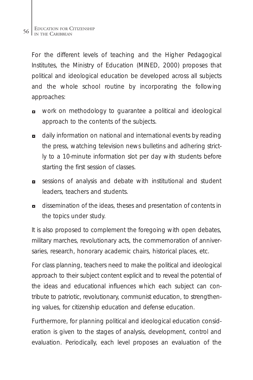*For the different levels of teaching and the Higher Pedagogical Institutes, the Ministry of Education (MINED, 2000) proposes that political and ideological education be developed across all subjects and the whole school routine by incorporating the following approaches:*

- *work on methodology to guarantee a political and ideological* п. *approach to the contents of the subjects.*
- *daily information on national and international events by reading*  $\blacksquare$ *the press, watching television news bulletins and adhering strictly to a 10-minute information slot per day with students before starting the first session of classes.*
- *sessions of analysis and debate with institutional and student* п. *leaders, teachers and students.*
- *dissemination of the ideas, theses and presentation of contents in* п. *the topics under study.*

*It is also proposed to complement the foregoing with open debates, military marches, revolutionary acts, the commemoration of anniversaries, research, honorary academic chairs, historical places, etc.*

*For class planning, teachers need to make the political and ideological approach to their subject content explicit and to reveal the potential of the ideas and educational influences which each subject can contribute to patriotic, revolutionary, communist education, to strengthening values, for citizenship education and defense education.*

*Furthermore, for planning political and ideological education consideration is given to the stages of analysis, development, control and evaluation. Periodically, each level proposes an evaluation of the*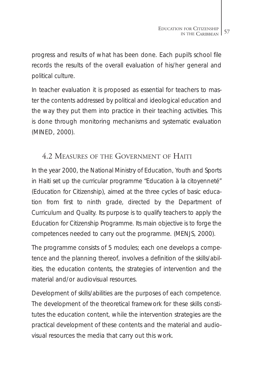*progress and results of what has been done. Each pupil's school file records the results of the overall evaluation of his/her general and political culture.*

*In teacher evaluation it is proposed as essential for teachers to master the contents addressed by political and ideological education and the way they put them into practice in their teaching activities. This is done through monitoring mechanisms and systematic evaluation (MINED, 2000).* 

### 4.2 MEASURES OF THE GOVERNMENT OF HAITI

*In the year 2000, the National Ministry of Education, Youth and Sports in Haiti set up the curricular programme "Education à la citoyenneté" (Education for Citizenship), aimed at the three cycles of basic education from first to ninth grade, directed by the Department of Curriculum and Quality. Its purpose is to qualify teachers to apply the Education for Citizenship Programme. Its main objective is to forge the competences needed to carry out the programme. (MENJS, 2000).*

*The programme consists of 5 modules; each one develops a competence and the planning thereof, involves a definition of the skills/abilities, the education contents, the strategies of intervention and the material and/or audiovisual resources.*

*Development of skills/abilities are the purposes of each competence. The development of the theoretical framework for these skills constitutes the education content, while the intervention strategies are the practical development of these contents and the material and audiovisual resources the media that carry out this work.*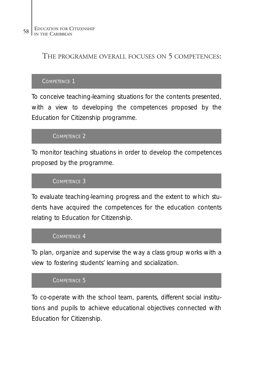### THE PROGRAMME OVERALL FOCUSES ON 5 COMPETENCES:

#### *COMPETENCE 1*

*To conceive teaching-learning situations for the contents presented, with a view to developing the competences proposed by the Education for Citizenship programme.*

*COMPETENCE 2*

*To monitor teaching situations in order to develop the competences proposed by the programme.*

*COMPETENCE 3*

*To evaluate teaching-learning progress and the extent to which students have acquired the competences for the education contents relating to Education for Citizenship.*

### *COMPETENCE 4*

*To plan, organize and supervise the way a class group works with a view to fostering students' learning and socialization.*

### *COMPETENCE 5*

*To co-operate with the school team, parents, different social institutions and pupils to achieve educational objectives connected with Education for Citizenship.*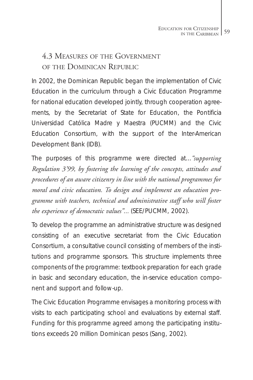# 4.3 MEASURES OF THE GOVERNMENT OF THE DOMINICAN REPUBLIC

*In 2002, the Dominican Republic began the implementation of Civic Education in the curriculum through a Civic Education Programme for national education developed jointly, through cooperation agreements, by the Secretariat of State for Education, the Pontificia Universidad Católica Madre y Maestra (PUCMM) and the Civic Education Consortium, with the support of the Inter-American Development Bank (IDB).*

*The purposes of this programme were directed at..."supporting Regulation 3'99, by fostering the learning of the concepts, attitudes and procedures of an aware citizenry in line with the national programmes for moral and civic education. To design and implement an education programme with teachers, technical and administrative staff who will foster the experience of democratic values"... (SEE/PUCMM, 2002).*

*To develop the programme an administrative structure was designed consisting of an executive secretariat from the Civic Education Consortium, a consultative council consisting of members of the institutions and programme sponsors. This structure implements three components of the programme: textbook preparation for each grade in basic and secondary education, the in-service education component and support and follow-up.*

*The Civic Education Programme envisages a monitoring process with visits to each participating school and evaluations by external staff. Funding for this programme agreed among the participating institutions exceeds 20 million Dominican pesos (Sang, 2002).*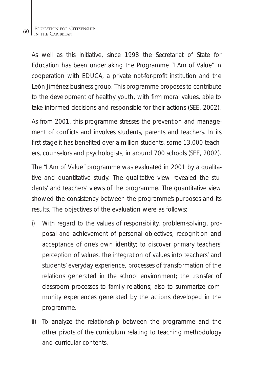*As well as this initiative, since 1998 the Secretariat of State for Education has been undertaking the Programme "I Am of Value" in cooperation with EDUCA, a private not-for-profit institution and the León Jiménez business group. This programme proposes to contribute to the development of healthy youth, with firm moral values, able to take informed decisions and responsible for their actions (SEE, 2002).*

*As from 2001, this programme stresses the prevention and management of conflicts and involves students, parents and teachers. In its first stage it has benefited over a million students, some 13,000 teachers, counselors and psychologists, in around 700 schools (SEE, 2002).*

*The "I Am of Value" programme was evaluated in 2001 by a qualitative and quantitative study. The qualitative view revealed the students' and teachers' views of the programme. The quantitative view showed the consistency between the programme's purposes and its results. The objectives of the evaluation were as follows:*

- *i) With regard to the values of responsibility, problem-solving, proposal and achievement of personal objectives, recognition and acceptance of one's own identity; to discover primary teachers' perception of values, the integration of values into teachers' and students' everyday experience, processes of transformation of the relations generated in the school environment; the transfer of classroom processes to family relations; also to summarize community experiences generated by the actions developed in the programme.*
- *ii) To analyze the relationship between the programme and the other pivots of the curriculum relating to teaching methodology and curricular contents.*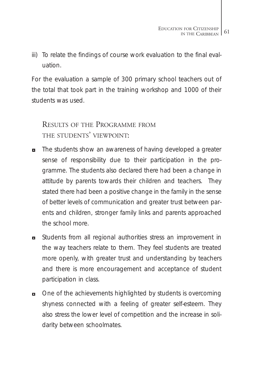*iii) To relate the findings of course work evaluation to the final evaluation.* 

*For the evaluation a sample of 300 primary school teachers out of the total that took part in the training workshop and 1000 of their students was used.*

# RESULTS OF THE PROGRAMME FROM THE STUDENTS' VIEWPOINT:

- *The students show an awareness of having developed a greater* o. *sense of responsibility due to their participation in the programme. The students also declared there had been a change in attitude by parents towards their children and teachers. They stated there had been a positive change in the family in the sense of better levels of communication and greater trust between parents and children, stronger family links and parents approached the school more.*
- *Students from all regional authorities stress an improvement in* п. *the way teachers relate to them. They feel students are treated more openly, with greater trust and understanding by teachers and there is more encouragement and acceptance of student participation in class.*
- *One of the achievements highlighted by students is overcoming* o. *shyness connected with a feeling of greater self-esteem. They also stress the lower level of competition and the increase in solidarity between schoolmates.*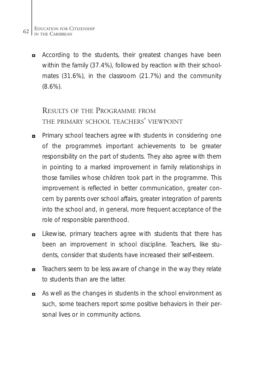# 62 EDUCATION FOR CITIZENSHIP<br>IN THE CARIBBEAN

o, *According to the students, their greatest changes have been within the family (37.4%), followed by reaction with their schoolmates (31.6%), in the classroom (21.7%) and the community (8.6%).* 

# RESULTS OF THE PROGRAMME FROM THE PRIMARY SCHOOL TEACHERS' VIEWPOINT

- *Primary school teachers agree with students in considering one* D. *of the programme's important achievements to be greater responsibility on the part of students. They also agree with them in pointing to a marked improvement in family relationships in those families whose children took part in the programme. This improvement is reflected in better communication, greater concern by parents over school affairs, greater integration of parents into the school and, in general, more frequent acceptance of the role of responsible parenthood.*
- *Likewise, primary teachers agree with students that there has* o, *been an improvement in school discipline. Teachers, like students, consider that students have increased their self-esteem.*
- *Teachers seem to be less aware of change in the way they relate* п. *to students than are the latter.*
- *As well as the changes in students in the school environment as* o. *such, some teachers report some positive behaviors in their personal lives or in community actions.*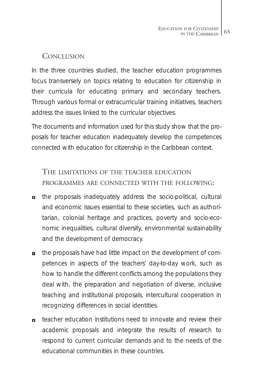### **CONCLUSION**

*In the three countries studied, the teacher education programmes focus transversely on topics relating to education for citizenship in their curricula for educating primary and secondary teachers. Through various formal or extracurricular training initiatives, teachers address the issues linked to the curricular objectives.*

*The documents and information used for this study show that the proposals for teacher education inadequately develop the competences connected with education for citizenship in the Caribbean context.*

# THE LIMITATIONS OF THE TEACHER EDUCATION PROGRAMMES ARE CONNECTED WITH THE FOLLOWING:

- *the proposals inadequately address the socio-political, cultural* п. *and economic issues essential to these societies, such as authoritarian, colonial heritage and practices, poverty and socio-economic inequalities, cultural diversity, environmental sustainability and the development of democracy.*
- *the proposals have had little impact on the development of com*o. *petences in aspects of the teachers' day-to-day work, such as how to handle the different conflicts among the populations they deal with, the preparation and negotiation of diverse, inclusive teaching and institutional proposals, intercultural cooperation in recognizing differences in social identities.*
- *teacher education institutions need to innovate and review their* п. *academic proposals and integrate the results of research to respond to current curricular demands and to the needs of the educational communities in these countries.*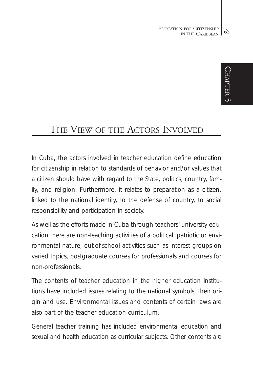# THE VIEW OF THE ACTORS INVOLVED

*In Cuba, the actors involved in teacher education define education for citizenship in relation to standards of behavior and/or values that a citizen should have with regard to the State, politics, country, family, and religion. Furthermore, it relates to preparation as a citizen, linked to the national identity, to the defense of country, to social responsibility and participation in society.*

*As well as the efforts made in Cuba through teachers' university education there are non-teaching activities of a political, patriotic or environmental nature, out-of-school activities such as interest groups on varied topics, postgraduate courses for professionals and courses for non-professionals.*

*The contents of teacher education in the higher education institutions have included issues relating to the national symbols, their origin and use. Environmental issues and contents of certain laws are also part of the teacher education curriculum.*

*General teacher training has included environmental education and sexual and health education as curricular subjects. Other contents are*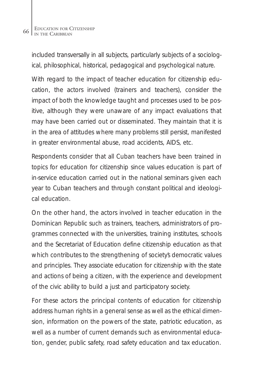*included transversally in all subjects, particularly subjects of a sociological, philosophical, historical, pedagogical and psychological nature.*

*With regard to the impact of teacher education for citizenship education, the actors involved (trainers and teachers), consider the impact of both the knowledge taught and processes used to be positive, although they were unaware of any impact evaluations that may have been carried out or disseminated. They maintain that it is in the area of attitudes where many problems still persist, manifested in greater environmental abuse, road accidents, AIDS, etc.*

*Respondents consider that all Cuban teachers have been trained in topics for education for citizenship since values education is part of in-service education carried out in the national seminars given each year to Cuban teachers and through constant political and ideological education.*

*On the other hand, the actors involved in teacher education in the Dominican Republic such as trainers, teachers, administrators of programmes connected with the universities, training institutes, schools and the Secretariat of Education define citizenship education as that which contributes to the strengthening of society's democratic values and principles. They associate education for citizenship with the state and actions of being a citizen, with the experience and development of the civic ability to build a just and participatory society.*

*For these actors the principal contents of education for citizenship address human rights in a general sense as well as the ethical dimension, information on the powers of the state, patriotic education, as well as a number of current demands such as environmental education, gender, public safety, road safety education and tax education.*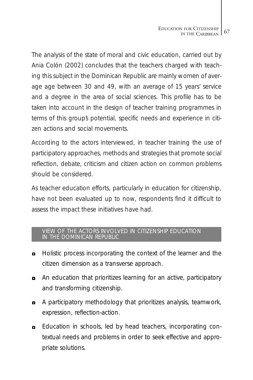*The analysis of the state of moral and civic education, carried out by Ania Colón (2002) concludes that the teachers charged with teaching this subject in the Dominican Republic are mainly women of average age between 30 and 49, with an average of 15 years' service and a degree in the area of social sciences. This profile has to be taken into account in the design of teacher training programmes in terms of this group's potential, specific needs and experience in citizen actions and social movements.*

*According to the actors interviewed, in teacher training the use of participatory approaches, methods and strategies that promote social reflection, debate, criticism and citizen action on common problems should be considered.*

*As teacher education efforts, particularly in education for citizenship, have not been evaluated up to now, respondents find it difficult to assess the impact these initiatives have had.*

#### *VIEW OF THE ACTORS INVOLVED IN CITIZENSHIP EDUCATION IN THE DOMINICAN REPUBLIC*

- *Holistic process incorporating the context of the learner and the* п *citizen dimension as a transverse approach.*
- *An education that prioritizes learning for an active, participatory* α. *and transforming citizenship.*
- *A participatory methodology that prioritizes analysis, teamwork,* п. *expression, reflection-action.*
- *Education in schools, led by head teachers, incorporating con*o, *textual needs and problems in order to seek effective and appropriate solutions.*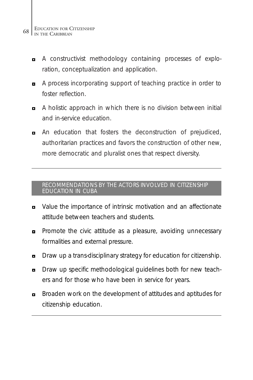- *A constructivist methodology containing processes of explo*п. *ration, conceptualization and application.*
- *A process incorporating support of teaching practice in order to* п. *foster reflection.*
- *A holistic approach in which there is no division between initial* о. *and in-service education.*
- *An education that fosters the deconstruction of prejudiced,* п. *authoritarian practices and favors the construction of other new, more democratic and pluralist ones that respect diversity.*

#### *RECOMMENDATIONS BY THE ACTORS INVOLVED IN CITIZENSHIP EDUCATION IN CUBA*

- *Value the importance of intrinsic motivation and an affectionate* o, *attitude between teachers and students.*
- *Promote the civic attitude as a pleasure, avoiding unnecessary* п. *formalities and external pressure.*
- *Draw up a trans-disciplinary strategy for education for citizenship.*  $\blacksquare$
- *Draw up specific methodological guidelines both for new teach*о. *ers and for those who have been in service for years.*
- *Broaden work on the development of attitudes and aptitudes for* о. *citizenship education.*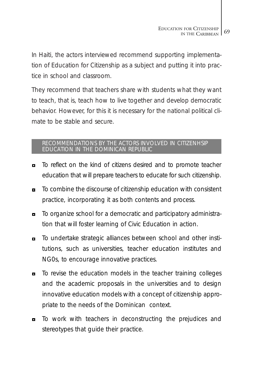*In Haiti, the actors interviewed recommend supporting implementation of Education for Citizenship as a subject and putting it into practice in school and classroom.*

*They recommend that teachers share with students what they want to teach, that is, teach how to live together and develop democratic behavior. However, for this it is necessary for the national political climate to be stable and secure.* 

### *RECOMMENDATIONS BY THE ACTORS INVOLVED IN CITIZENHSIP EDUCATION IN THE DOMINICAN REPUBLIC*

- *To reflect on the kind of citizens desired and to promote teacher* о. *education that will prepare teachers to educate for such citizenship.*
- *To combine the discourse of citizenship education with consistent* α. *practice, incorporating it as both contents and process.*
- *To organize school for a democratic and participatory administra*α. *tion that will foster learning of Civic Education in action.*
- *To undertake strategic alliances between school and other insti*о. *tutions, such as universities, teacher education institutes and NG0s, to encourage innovative practices.*
- *To revise the education models in the teacher training colleges* о. *and the academic proposals in the universities and to design innovative education models with a concept of citizenship appropriate to the needs of the Dominican context.*
- $\blacksquare$ *To work with teachers in deconstructing the prejudices and stereotypes that guide their practice.*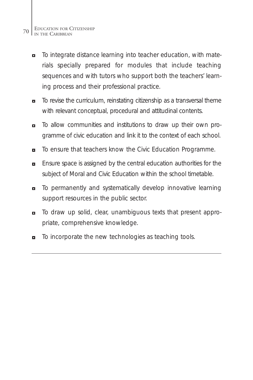# EDUCATION FOR CITIZENSHIP IN THE CARIBBEAN 70

- o. *To integrate distance learning into teacher education, with materials specially prepared for modules that include teaching sequences and with tutors who support both the teachers' learning process and their professional practice.*
- *To revise the curriculum, reinstating citizenship as a transversal theme*  $\blacksquare$ *with relevant conceptual, procedural and attitudinal contents.*
- *To allow communities and institutions to draw up their own pro*п. *gramme of civic education and link it to the context of each school.*
- *To ensure that teachers know the Civic Education Programme.* o.
- *Ensure space is assigned by the central education authorities for the* п. *subject of Moral and Civic Education within the school timetable.*
- *To permanently and systematically develop innovative learning* o. *support resources in the public sector.*
- *To draw up solid, clear, unambiguous texts that present appro*o, *priate, comprehensive knowledge.*
- *To incorporate the new technologies as teaching tools.*   $\blacksquare$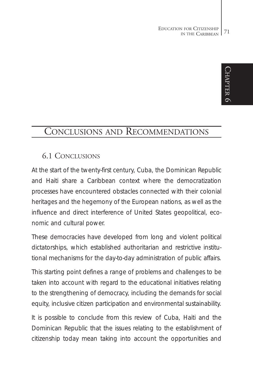# CONCLUSIONS AND RECOMMENDATIONS

## 6.1 CONCLUSIONS

*At the start of the twenty-first century, Cuba, the Dominican Republic and Haiti share a Caribbean context where the democratization processes have encountered obstacles connected with their colonial heritages and the hegemony of the European nations, as well as the influence and direct interference of United States geopolitical, economic and cultural power.*

*These democracies have developed from long and violent political dictatorships, which established authoritarian and restrictive institutional mechanisms for the day-to-day administration of public affairs.*

*This starting point defines a range of problems and challenges to be taken into account with regard to the educational initiatives relating to the strengthening of democracy, including the demands for social equity, inclusive citizen participation and environmental sustainability.*

*It is possible to conclude from this review of Cuba, Haiti and the Dominican Republic that the issues relating to the establishment of citizenship today mean taking into account the opportunities and*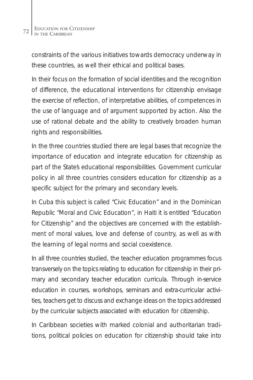*constraints of the various initiatives towards democracy underway in these countries, as well their ethical and political bases.*

*In their focus on the formation of social identities and the recognition of difference, the educational interventions for citizenship envisage the exercise of reflection, of interpretative abilities, of competences in the use of language and of argument supported by action. Also the use of rational debate and the ability to creatively broaden human rights and responsibilities.*

*In the three countries studied there are legal bases that recognize the importance of education and integrate education for citizenship as part of the State's educational responsibilities. Government curricular policy in all three countries considers education for citizenship as a specific subject for the primary and secondary levels.* 

*In Cuba this subject is called "Civic Education" and in the Dominican Republic "Moral and Civic Education", in Haiti it is entitled "Education for Citizenship" and the objectives are concerned with the establishment of moral values, love and defense of country, as well as with the learning of legal norms and social coexistence.*

*In all three countries studied, the teacher education programmes focus transversely on the topics relating to education for citizenship in their primary and secondary teacher education curricula. Through in-service education in courses, workshops, seminars and extra-curricular activities, teachers get to discuss and exchange ideas on the topics addressed by the curricular subjects associated with education for citizenship.* 

*In Caribbean societies with marked colonial and authoritarian traditions, political policies on education for citizenship should take into*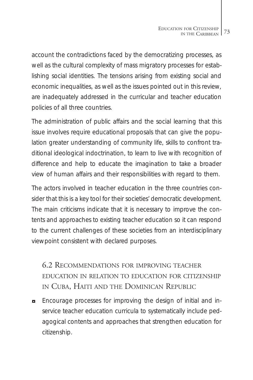*account the contradictions faced by the democratizing processes, as well as the cultural complexity of mass migratory processes for establishing social identities. The tensions arising from existing social and economic inequalities, as well as the issues pointed out in this review, are inadequately addressed in the curricular and teacher education policies of all three countries.*

*The administration of public affairs and the social learning that this issue involves require educational proposals that can give the population greater understanding of community life, skills to confront traditional ideological indoctrination, to learn to live with recognition of difference and help to educate the imagination to take a broader view of human affairs and their responsibilities with regard to them.* 

*The actors involved in teacher education in the three countries consider that this is a key tool for their societies' democratic development. The main criticisms indicate that it is necessary to improve the contents and approaches to existing teacher education so it can respond to the current challenges of these societies from an interdisciplinary viewpoint consistent with declared purposes.*

### 6.2 RECOMMENDATIONS FOR IMPROVING TEACHER EDUCATION IN RELATION TO EDUCATION FOR CITIZENSHIP IN CUBA, HAITI AND THE DOMINICAN REPUBLIC

*Encourage processes for improving the design of initial and in-*D. *service teacher education curricula to systematically include pedagogical contents and approaches that strengthen education for citizenship.*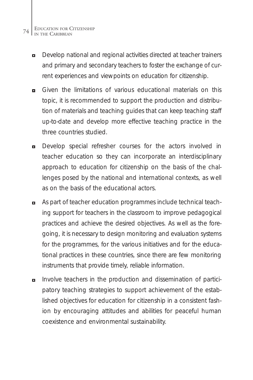# EDUCATION FOR CITIZENSHIP IN THE CARIBBEAN 74

- o. *Develop national and regional activities directed at teacher trainers and primary and secondary teachers to foster the exchange of current experiences and viewpoints on education for citizenship.*
- *Given the limitations of various educational materials on this* п. *topic, it is recommended to support the production and distribution of materials and teaching guides that can keep teaching staff up-to-date and develop more effective teaching practice in the three countries studied.*
- *Develop special refresher courses for the actors involved in* o. *teacher education so they can incorporate an interdisciplinary approach to education for citizenship on the basis of the challenges posed by the national and international contexts, as well as on the basis of the educational actors.*
- *As part of teacher education programmes include technical teach*o. *ing support for teachers in the classroom to improve pedagogical practices and achieve the desired objectives. As well as the foregoing, it is necessary to design monitoring and evaluation systems for the programmes, for the various initiatives and for the educational practices in these countries, since there are few monitoring instruments that provide timely, reliable information.*
- *Involve teachers in the production and dissemination of partici*α. *patory teaching strategies to support achievement of the established objectives for education for citizenship in a consistent fashion by encouraging attitudes and abilities for peaceful human coexistence and environmental sustainability.*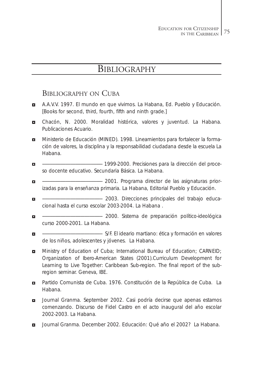## BIBLIOGRAPHY

#### BIBLIOGRAPHY ON CUBA

- *A.A.V.V. 1997. El mundo en que vivimos. La Habana, Ed. Pueblo y Educación.* п. *[Books for second, third, fourth, fifth and ninth grade.]*
- *Chacón, N. 2000. Moralidad histórica, valores y juventud. La Habana.* п. *Publicaciones Acuario.*
- *Ministerio de Educación (MINED). 1998. Lineamientos para fortalecer la forma*п. *ción de valores, la disciplina y la responsabilidad ciudadana desde la escuela La Habana.*
- o. *----------------------------------------------- 1999-2000. Precisiones para la dirección del proceso docente educativo. Secundaria Básica. La Habana.*
- *----------------------------------------------- 2001. Programa director de las asignaturas prior*α. *izadas para la enseñanza primaria. La Habana, Editorial Pueblo y Educación.*
- *----------------------------------------------- 2003. Direcciones principales del trabajo educa*o. *cional hasta el curso escolar 2003-2004. La Habana .*
- *----------------------------------------------- 2000. Sistema de preparación político-ideológica* o, *curso 2000-2001. La Habana.*
- *----------------------------------------------- S/F. El ideario martiano: ética y formación en valores* п. *de los niños, adolescentes y jóvenes. La Habana.*
- *Ministry of Education of Cuba; International Bureau of Education; CARNEID;* α. *Organization of Ibero-American States (2001).Curriculum Development for Learning to Live Together: Caribbean Sub-region. The final report of the subregion seminar. Geneva, IBE.*
- o. *Partido Comunista de Cuba. 1976. Constitución de la República de Cuba. La Habana.*
- *Journal Granma. September 2002. Casi podría decirse que apenas estamos* п. *comenzando. Discurso de Fidel Castro en el acto inaugural del año escolar 2002-2003. La Habana.*
- *Journal Granma. December 2002. Educación: Qué año el 2002? La Habana.* m.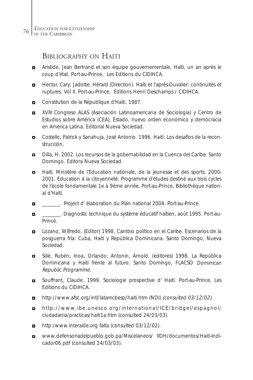### BIBLIOGRAPHY ON HAITI

- п. *Aristide, Jean Bertrand et son équipe gouvernementale, Haïti, un an après le coup d'état. Port-au-Prince, Les Editions du CIDIHCA.*
- o, *Hector, Cary; Jadotte, Hérard (Direction). Haïti et l'après-Duvalier: continuités et ruptures. Vol II. Port-au-Prince, Editions Henri Deschamps / CIDIHCA.*
- *Constitution de la République d'Haïti. 1987.* α.
- *XVIII Congreso ALAS (Asociación Latinoamericana de Sociología) y Centro de* п. *Estudios sobre América (CEA), Estado, nuevo orden económico y democracia en América Latina. Editorial Nueva Sociedad.*
- *Costello, Patrick y Sanahuja, José Antonio. 1996. Haití: Los desafíos de la recon*o, *strucción.*
- *Dilla, H. 2002. Los recursos de la gobernabilidad en la Cuenca del Caribe. Santo* п. *Domingo. Editora Nueva Sociedad.*
- *Haiti. Ministère de l'Education nationale, de la jeunesse et des sports. 2000* o. *2001. Education á la citoyenneté. Programme d'études destiné aux trois cycles de l'école fondamentale 1e à 9ème année. Port-au-Prince, Bibliothèque national d'Haïtí.*
- *\_\_\_\_\_\_\_. Project d' élaboration du Plan national 2004. Port-au-Prince.* o,
- *\_\_\_\_\_\_\_. Diagnostic technique du système éducatif haïtien, août 1995. Port-au-*O, *Prince.*
- *Lozano, Wilfredo. (Editor) 1998. Cambio político en el Caribe. Escenarios de la* o. *posguerra fría: Cuba, Haití y República Dominicana. Santo Domingo, Nueva Sociedad.*
- *Silié, Rubén; Inoa, Orlando; Antonin, Arnold. (editores) 1998. La República* o, *Dominicana y Haití frente al futuro. Santo Domingo, FLACSO Dominican Republic Programme.*
- o, *Souffrant, Claude. 1999. Sociologie prospective d' Haití. Port-au-Prince, Les Editions du CIDIHCA.*
- *http://www.afsc.org/intl/latamcbesp/haiti.htm (NDI) (consulted 03/12/02).* o.
- *http://www.ibe.unesco.org/international/ICE/bridgel/espagnol/* п. *ciudadania/practicas/haiti1a.htm (consulted 24/03/03).*
- *http:/www.interaide.org falta (consulted 03/12/02).* o.
- *www.defensoriadelpueblo.gob.pa/Miscelaneos/ IIDH/documentos/Haiti-Indi*o. *cador06.pdf (consulted 24/03/03).*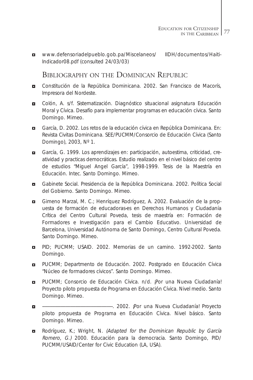*www.defensoriadelpueblo.gob.pa/Miscelaneos/ IIDH/documentos/Haiti*п. *Indicador08.pdf (consulted 24/03/03)*

#### BIBLIOGRAPHY ON THE DOMINICAN REPUBLIC

- o, *Constitución de la República Dominicana. 2002. San Francisco de Macorís, Impresora del Nordeste.*
- *Colón, A. s/f. Sistematización. Diagnóstico situacional asignatura Educación* Π. *Moral y Cívica. Desafío para implementar programas en educación cívica. Santo Domingo. Mimeo.*
- *García, D. 2002. Los retos de la educación cívica en República Dominicana. En:* п. *Revista Civitas Dominicana. SEE/PUCMM/Consorcio de Educación Cívica (Santo Domingo), 2003, Nº 1.*
- o. *García, G. 1999. Los aprendizajes en: participación, autoestima, criticidad, creatividad y practicas democráticas. Estudio realizado en el nivel básico del centro de estudios "Miguel Angel García", 1998-1999. Tesis de la Maestría en Educación. Intec. Santo Domingo. Mimeo.*
- *Gabinete Social. Presidencia de la República Dominicana. 2002. Política Social* α. *del Gobierno. Santo Domingo. Mimeo.*
- α. *Gimeno Marzal, M. C.; Henríquez Rodríguez, A. 2002. Evaluación de la propuesta de formación de educadoras-es en Derechos Humanos y Ciudadanía Crítica del Centro Cultural Poveda, tesis de maestría en: Formación de Formadores e Investigación para el Cambio Educativo. Universidad de Barcelona, Universidad Autónoma de Santo Domingo, Centro Cultural Poveda. Santo Domingo. Mimeo.*
- *PID; PUCMM; USAID. 2002. Memorias de un camino. 1992-2002. Santo* п. *Domingo.*
- *PUCMM; Departmento de Educación. 2002. Postgrado en Educación Cívica* α. *"Núcleo de formadores cívicos". Santo Domingo. Mimeo.*
- *PUCMM; Consorcio de Educación Cívica. n/d. ¡Por una Nueva Ciudadanía!* п. *Proyecto piloto propuesta de Programa en Educación Cívica. Nivel medio. Santo Domingo. Mimeo.*
- *-------------------------------------------------------. 2002. ¡Por una Nueva Ciudadanía! Proyecto* o. *piloto propuesta de Programa en Educación Cívica. Nivel básico. Santo Domingo. Mimeo.*
- *Rodríguez, K.; Wright, N. (Adapted for the Dominican Republic by García* α. *Romero, G.) 2000. Educación para la democracia. Santo Domingo, PID/ PUCMM/USAID/Center for Civic Education (LA, USA).*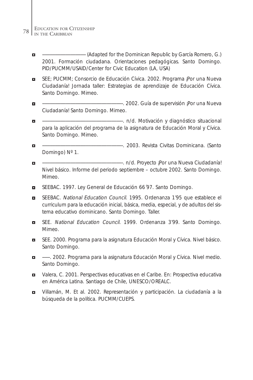#### EDUCATION FOR CITIZENSHIP 78 **IN THE CARIBBEAN**

- *---------------------------------- (Adapted for the Dominican Republic by García Romero, G.)* п. *2001. Formación ciudadana. Orientaciones pedagógicas. Santo Domingo. PID/PUCMM/USAID/Center for Civic Education (LA, USA)*
- $\blacksquare$ *SEE; PUCMM; Consorcio de Educación Cívica. 2002. Programa ¡Por una Nueva Ciudadanía! Jornada taller: Estrategias de aprendizaje de Educación Cívica. Santo Domingo. Mimeo.*
- *---------------------------------------------------------------. 2002. Guía de supervisión ¡Por una Nueva* o. *Ciudadanía! Santo Domingo. Mimeo.*
- *---------------------------------------------------------------. n/d. Motivación y diagnóstico situacional* п. *para la aplicación del programa de la asignatura de Educación Moral y Cívica. Santo Domingo. Mimeo.*
- *---------------------------------------------------------------. 2003. Revista Civitas Dominicana. (Santo* п. *Domingo) Nº 1.*
- *---------------------------------------------------------------. n/d. Proyecto ¡Por una Nueva Ciudadanía!* O *Nivel básico. Informe del periodo septiembre – octubre 2002. Santo Domingo. Mimeo.*
- *SEEBAC. 1997. Ley General de Educación 66´97. Santo Domingo.* п.
- o. *SEEBAC. National Education Council. 1995. Ordenanza 1'95 que establece el curriculum para la educación inicial, básica, media, especial, y de adultos del sistema educativo dominicano. Santo Domingo. Taller.*
- *SEE. National Education Council. 1999. Ordenanza 3'99. Santo Domingo.* α. *Mimeo.*
- *SEE. 2000. Programa para la asignatura Educación Moral y Cívica. Nivel básico.* п. *Santo Domingo.*
- *------. 2002. Programa para la asignatura Educación Moral y Cívica. Nivel medio.* п. *Santo Domingo.*
- *Valera, C. 2001. Perspectivas educativas en el Caribe. En: Prospectiva educativa* Π. *en América Latina. Santiago de Chile, UNESCO/OREALC.*
- *Villamán, M. Et al. 2002. Representación y participación. La ciudadanía a la* o. *búsqueda de la política. PUCMM/CUEPS.*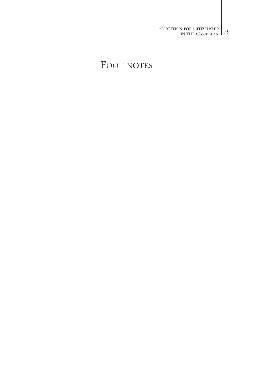# FOOT NOTES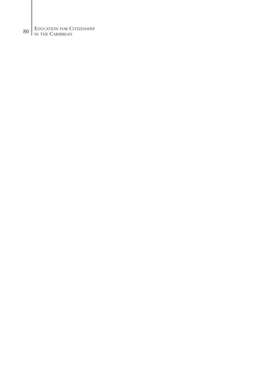80 EDUCATION FOR CITIZENSHIP<br>IN THE CARIBBEAN